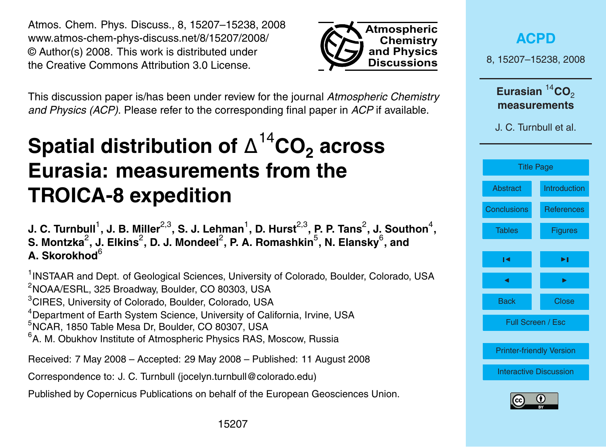<span id="page-0-0"></span>Atmos. Chem. Phys. Discuss., 8, 15207–15238, 2008 www.atmos-chem-phys-discuss.net/8/15207/2008/ © Author(s) 2008. This work is distributed under the Creative Commons Attribution 3.0 License.



This discussion paper is/has been under review for the journal *Atmospheric Chemistry and Physics (ACP)*. Please refer to the corresponding final paper in *ACP* if available.

## **Spatial distribution of** ∆ <sup>14</sup>**CO<sup>2</sup> across Eurasia: measurements from the TROICA-8 expedition**

J. C. Turnbull<sup>1</sup>, J. B. Miller<sup>2,3</sup>, S. J. Lehman<sup>1</sup>, D. Hurst<sup>2,3</sup>, P. P. Tans<sup>2</sup>, J. Southon<sup>4</sup>,  ${\mathbf S}$ . Montzka $^2$ , J. Elkins $^2$ , D. J. Mondeel $^2$ , P. A. Romashkin $^5$ , N. Elansky $^6$ , and **A. Skorokhod**<sup>6</sup>

<sup>1</sup>INSTAAR and Dept. of Geological Sciences, University of Colorado, Boulder, Colorado, USA  $2$ NOAA/ESRL, 325 Broadway, Boulder, CO 80303, USA <sup>3</sup>CIRES, University of Colorado, Boulder, Colorado, USA <sup>4</sup>Department of Earth System Science, University of California, Irvine, USA <sup>5</sup>NCAR, 1850 Table Mesa Dr, Boulder, CO 80307, USA  $6$ A. M. Obukhov Institute of Atmospheric Physics RAS, Moscow, Russia

Received: 7 May 2008 – Accepted: 29 May 2008 – Published: 11 August 2008 Correspondence to: J. C. Turnbull (jocelyn.turnbull@colorado.edu)

Published by Copernicus Publications on behalf of the European Geosciences Union.

|                                                                             | <b>ACPD</b>       |  |
|-----------------------------------------------------------------------------|-------------------|--|
| 8, 15207-15238, 2008                                                        |                   |  |
| Eurasian ${}^{14}$ CO <sub>2</sub><br>measurements<br>J. C. Turnbull et al. |                   |  |
|                                                                             |                   |  |
| Abstract                                                                    | Introduction      |  |
| <b>Conclusions</b>                                                          | <b>References</b> |  |
| <b>Tables</b>                                                               | <b>Figures</b>    |  |
| ы                                                                           | ►∣                |  |
| ◀                                                                           | ь                 |  |
| <b>Back</b>                                                                 | Close             |  |
| Full Screen / Esc                                                           |                   |  |
| <b>Printer-friendly Version</b>                                             |                   |  |
| <b>Interactive Discussion</b>                                               |                   |  |
|                                                                             |                   |  |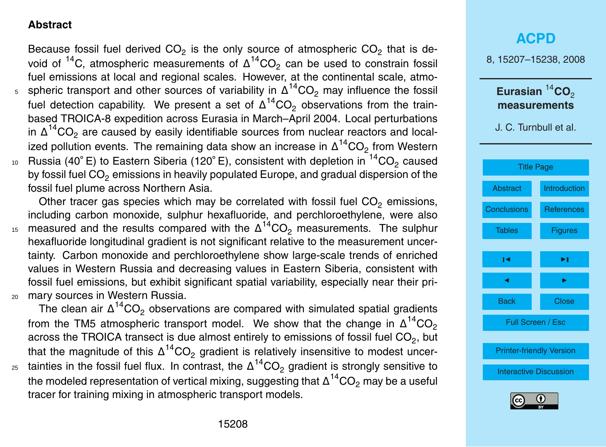#### <span id="page-1-0"></span>**Abstract**

Because fossil fuel derived CO<sub>2</sub> is the only source of atmospheric CO<sub>2</sub> that is devoid of  $^{14}$ C, atmospheric measurements of  $\Delta ^{14}$ CO<sub>2</sub> can be used to constrain fossil fuel emissions at local and regional scales. However, at the continental scale, atmos spheric transport and other sources of variability in  $Δ^{14}CO_2$  may influence the fossil fuel detection capability. We present a set of  $\Delta ^{14} \text{CO}_2$  observations from the trainbased TROICA-8 expedition across Eurasia in March–April 2004. Local perturbations in  $\Delta ^{14} \text{CO}_2$  are caused by easily identifiable sources from nuclear reactors and local-

ized pollution events. The remaining data show an increase in  $\Delta^{14} \text{CO}_2$  from Western  $_{^{10}}~$  Russia (40 $^{\circ}$  E) to Eastern Siberia (120 $^{\circ}$  E), consistent with depletion in  $^{14} \rm CO_2$  caused by fossil fuel  $CO<sub>2</sub>$  emissions in heavily populated Europe, and gradual dispersion of the fossil fuel plume across Northern Asia.

Other tracer gas species which may be correlated with fossil fuel  $CO<sub>2</sub>$  emissions, including carbon monoxide, sulphur hexafluoride, and perchloroethylene, were also 15 measured and the results compared with the  $\Delta ^{14} \text{CO}_2$  measurements. The sulphur hexafluoride longitudinal gradient is not significant relative to the measurement uncertainty. Carbon monoxide and perchloroethylene show large-scale trends of enriched values in Western Russia and decreasing values in Eastern Siberia, consistent with fossil fuel emissions, but exhibit significant spatial variability, especially near their pri-<sup>20</sup> mary sources in Western Russia.

The clean air  $\Delta^{14} \text{CO}_2$  observations are compared with simulated spatial gradients from the TM5 atmospheric transport model. We show that the change in  $\Delta^{14} \text{CO}_2$ across the TROICA transect is due almost entirely to emissions of fossil fuel CO<sub>2</sub>, but that the magnitude of this  $\Delta^{14} \text{CO}_2$  gradient is relatively insensitive to modest uncer- $_{\rm 25}$  tainties in the fossil fuel flux. In contrast, the  $\Delta ^{14} \rm CO_2$  gradient is strongly sensitive to the modeled representation of vertical mixing, suggesting that  $\Delta ^{14} \rm CO_2$  may be a useful tracer for training mixing in atmospheric transport models.

# **[ACPD](http://www.atmos-chem-phys-discuss.net)** 8, 15207–15238, 2008 Eurasian<sup>14</sup>CO<sub>2</sub> **measurements** J. C. Turnbull et al. [Title Page](#page-0-0)



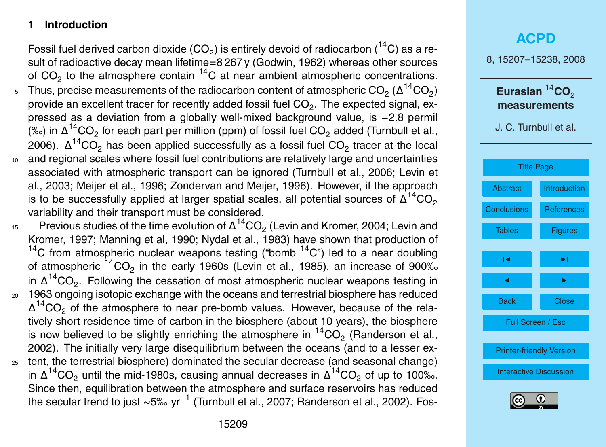### <span id="page-2-0"></span>**1 Introduction**

Fossil fuel derived carbon dioxide (CO<sub>2</sub>) is entirely devoid of radiocarbon (<sup>14</sup>C) as a result of radioactive decay mean lifetime=8 267 y (Godwin, 1962) whereas other sources of  $CO<sub>2</sub>$  to the atmosphere contain  $<sup>14</sup>C$  at near ambient atmospheric concentrations.</sup>

- $_5$   $\,$  Thus, precise measurements of the radiocarbon content of atmospheric CO $_2$  ( $\Delta ^{14}$ CO $_2)$ provide an excellent tracer for recently added fossil fuel CO $_2$ . The expected signal, expressed as a deviation from a globally well-mixed background value, is −2.8 permil (‰) in  $\Delta ^{14}CO_2$  for each part per million (ppm) of fossil fuel CO<sub>2</sub> added (Turnbull et al., 2006).  $\Delta ^{14}$ CO $_2$  has been applied successfully as a fossil fuel CO $_2$  tracer at the local
- <sup>10</sup> and regional scales where fossil fuel contributions are relatively large and uncertainties associated with atmospheric transport can be ignored (Turnbull et al., 2006; Levin et al., 2003; Meijer et al., 1996; Zondervan and Meijer, 1996). However, if the approach is to be successfully applied at larger spatial scales, all potential sources of  $\Delta^{14} \rm CO_2$ variability and their transport must be considered.
- $_{15}$  Previous studies of the time evolution of  $\Delta ^{14} \text{CO}_2$  (Levin and Kromer, 2004; Levin and Kromer, 1997; Manning et al, 1990; Nydal et al., 1983) have shown that production of <sup>14</sup>C from atmospheric nuclear weapons testing ("bomb  $14$ C") led to a near doubling of atmospheric  $^{14} \text{CO}_2$  in the early 1960s (Levin et al., 1985), an increase of 900‰ in  $\Delta^{14} \text{CO}_2$ . Following the cessation of most atmospheric nuclear weapons testing in <sup>20</sup> 1963 ongoing isotopic exchange with the oceans and terrestrial biosphere has reduced  $\Delta^{14}CO_2$  of the atmosphere to near pre-bomb values. However, because of the relatively short residence time of carbon in the biosphere (about 10 years), the biosphere is now believed to be slightly enriching the atmosphere in  ${}^{14}CO_2$  (Randerson et al., 2002). The initially very large disequilibrium between the oceans (and to a lesser ex-<sup>25</sup> tent, the terrestrial biosphere) dominated the secular decrease (and seasonal change) in Δ<sup>14</sup>CO<sub>2</sub> until the mid-1980s, causing annual decreases in Δ<sup>14</sup>CO<sub>2</sub> of up to 100‰. Since then, equilibration between the atmosphere and surface reservoirs has reduced the secular trend to just ∼5‰ yr<sup>−1</sup> (Turnbull et al., 2007; Randerson et al., 2002). Fos-

### **[ACPD](http://www.atmos-chem-phys-discuss.net)** 8, 15207–15238, 2008 Eurasian<sup>14</sup>CO<sub>2</sub> **measurements** J. C. Turnbull et al. [Title Page](#page-0-0) [Abstract](#page-1-0) Introduction [Conclusions](#page-17-0) [References](#page-18-0) Tables **[Figures](#page-25-0)**  $\overline{\phantom{a}}$  $\sim$  J  $\sim$ Back Close Full Screen / Esc [Printer-friendly Version](http://www.atmos-chem-phys-discuss.net/8/15207/2008/acpd-8-15207-2008-print.pdf) [Interactive Discussion](http://www.atmos-chem-phys-discuss.net/8/15207/2008/acpd-8-15207-2008-discussion.html)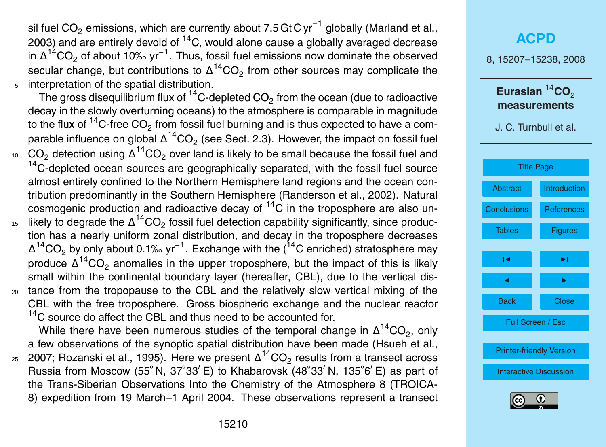sil fuel CO<sub>2</sub> emissions, which are currently about 7.5 Gt C yr<sup>−1</sup> globally (Marland et al., 2003) and are entirely devoid of  ${}^{14}C$ , would alone cause a globally averaged decrease in  $\Delta^{14}$ CO<sub>2</sub> of about 10‰ yr<sup>-1</sup>. Thus, fossil fuel emissions now dominate the observed secular change, but contributions to  $\Delta ^{14} \text{CO}_2$  from other sources may complicate the <sup>5</sup> interpretation of the spatial distribution.

The gross disequilibrium flux of  $\rm ^{14}C$ -depleted CO $_2$  from the ocean (due to radioactive decay in the slowly overturning oceans) to the atmosphere is comparable in magnitude to the flux of <sup>14</sup>C-free CO<sub>2</sub> from fossil fuel burning and is thus expected to have a comparable influence on global  $\Delta^{14} \text{CO}_2$  (see Sect. 2.3). However, the impact on fossil fuel <sub>10</sub>  $\,$  CO<sub>2</sub> detection using Δ<sup>14</sup>CO<sub>2</sub> over land is likely to be small because the fossil fuel and <sup>14</sup>C-depleted ocean sources are geographically separated, with the fossil fuel source almost entirely confined to the Northern Hemisphere land regions and the ocean contribution predominantly in the Southern Hemisphere (Randerson et al., 2002). Natural cosmogenic production and radioactive decay of  ${}^{14}$ C in the troposphere are also un-<sub>15</sub> likely to degrade the Δ<sup>14</sup>CO<sub>2</sub> fossil fuel detection capability significantly, since production has a nearly uniform zonal distribution, and decay in the troposphere decreases  $\Delta^{14}$ CO<sub>2</sub> by only about 0.1‰ yr<sup>-1</sup>. Exchange with the (<sup>14</sup>C enriched) stratosphere may

produce  $\Delta^{14} \text{CO}_2$  anomalies in the upper troposphere, but the impact of this is likely small within the continental boundary layer (hereafter, CBL), due to the vertical dis-<sup>20</sup> tance from the tropopause to the CBL and the relatively slow vertical mixing of the CBL with the free troposphere. Gross biospheric exchange and the nuclear reactor <sup>14</sup>C source do affect the CBL and thus need to be accounted for.

While there have been numerous studies of the temporal change in  $\Delta^{14} \text{CO}_2$ , only a few observations of the synoptic spatial distribution have been made (Hsueh et al.,

 $_{\rm 25}$   $\,$  2007; Rozanski et al., 1995). Here we present  $\Delta ^{14} \rm CO_2$  results from a transect across Russia from Moscow (55° N, 37°33' E) to Khabarovsk (48°33' N, 135°6' E) as part of the Trans-Siberian Observations Into the Chemistry of the Atmosphere 8 (TROICA-8) expedition from 19 March–1 April 2004. These observations represent a transect

### **[ACPD](http://www.atmos-chem-phys-discuss.net)** 8, 15207–15238, 2008 Eurasian<sup>14</sup>CO<sub>2</sub> **measurements** J. C. Turnbull et al. [Title Page](#page-0-0) [Abstract](#page-1-0) [Introduction](#page-2-0) [Conclusions](#page-17-0) [References](#page-18-0) Tables [Figures](#page-25-0)  $\overline{\phantom{a}}$  $\sim$  J  $\sim$ Back Close Full Screen / Esc [Printer-friendly Version](http://www.atmos-chem-phys-discuss.net/8/15207/2008/acpd-8-15207-2008-print.pdf) [Interactive Discussion](http://www.atmos-chem-phys-discuss.net/8/15207/2008/acpd-8-15207-2008-discussion.html)

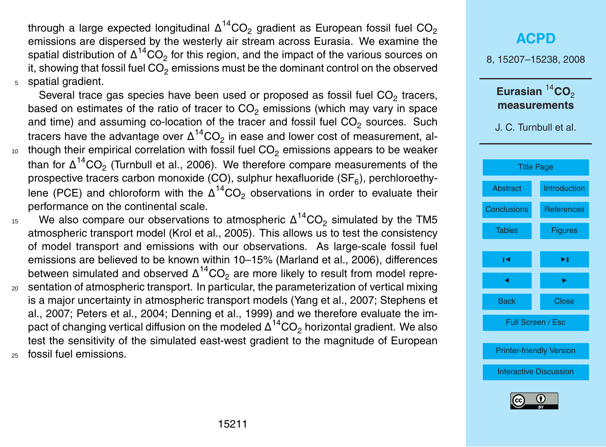through a large expected longitudinal  $\Delta ^{14} \text{CO}_2$  gradient as European fossil fuel CO $_2$ emissions are dispersed by the westerly air stream across Eurasia. We examine the spatial distribution of  $\Delta^{14} \text{CO}_2$  for this region, and the impact of the various sources on it, showing that fossil fuel  $CO<sub>2</sub>$  emissions must be the dominant control on the observed <sup>5</sup> spatial gradient.

Several trace gas species have been used or proposed as fossil fuel CO<sub>2</sub> tracers, based on estimates of the ratio of tracer to  $CO<sub>2</sub>$  emissions (which may vary in space and time) and assuming co-location of the tracer and fossil fuel CO<sub>2</sub> sources. Such tracers have the advantage over  $\Delta ^{14} \text{CO}_2$  in ease and lower cost of measurement, al- $10<sub>10</sub>$  though their empirical correlation with fossil fuel CO<sub>2</sub> emissions appears to be weaker than for  $\Delta^{14} \text{CO}_2$  (Turnbull et al., 2006). We therefore compare measurements of the prospective tracers carbon monoxide (CO), sulphur hexafluoride (SF $_6$ ), perchloroethylene (PCE) and chloroform with the  $\Delta^{14} \text{CO}_2$  observations in order to evaluate their performance on the continental scale.

- $15$  We also compare our observations to atmospheric  $\Delta^{14} \text{CO}_2$  simulated by the TM5 atmospheric transport model (Krol et al., 2005). This allows us to test the consistency of model transport and emissions with our observations. As large-scale fossil fuel emissions are believed to be known within 10–15% (Marland et al., 2006), differences between simulated and observed  $\Delta^{14} \text{CO}_2$  are more likely to result from model repre-<sup>20</sup> sentation of atmospheric transport. In particular, the parameterization of vertical mixing is a major uncertainty in atmospheric transport models (Yang et al., 2007; Stephens et al., 2007; Peters et al., 2004; Denning et al., 1999) and we therefore evaluate the impact of changing vertical diffusion on the modeled  $\Delta ^{14} \text{CO}_2$  horizontal gradient. We also test the sensitivity of the simulated east-west gradient to the magnitude of European
- <sup>25</sup> fossil fuel emissions.

### **[ACPD](http://www.atmos-chem-phys-discuss.net)** 8, 15207–15238, 2008 Eurasian<sup>14</sup>CO<sub>2</sub> **measurements** J. C. Turnbull et al. [Title Page](#page-0-0) [Abstract](#page-1-0) [Introduction](#page-2-0) [Conclusions](#page-17-0) [References](#page-18-0) Tables [Figures](#page-25-0)  $\overline{\phantom{a}}$  $\sim$  J  $\sim$ Back Close Full Screen / Esc [Printer-friendly Version](http://www.atmos-chem-phys-discuss.net/8/15207/2008/acpd-8-15207-2008-print.pdf) [Interactive Discussion](http://www.atmos-chem-phys-discuss.net/8/15207/2008/acpd-8-15207-2008-discussion.html)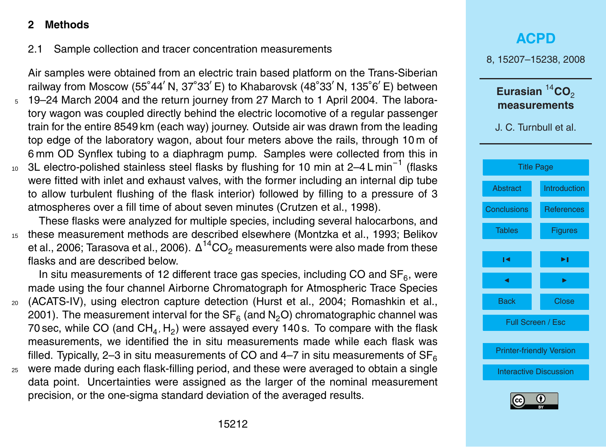#### **2 Methods**

### 2.1 Sample collection and tracer concentration measurements

Air samples were obtained from an electric train based platform on the Trans-Siberian railway from Moscow (55°44' N, 37°33' E) to Khabarovsk (48°33' N, 135°6' E) between

- <sup>5</sup> 19–24 March 2004 and the return journey from 27 March to 1 April 2004. The laboratory wagon was coupled directly behind the electric locomotive of a regular passenger train for the entire 8549 km (each way) journey. Outside air was drawn from the leading top edge of the laboratory wagon, about four meters above the rails, through 10 m of 6 mm OD Synflex tubing to a diaphragm pump. Samples were collected from this in
- 10 3L electro-polished stainless steel flasks by flushing for 10 min at 2–4 L min<sup>-1</sup> (flasks were fitted with inlet and exhaust valves, with the former including an internal dip tube to allow turbulent flushing of the flask interior) followed by filling to a pressure of 3 atmospheres over a fill time of about seven minutes (Crutzen et al., 1998).

These flasks were analyzed for multiple species, including several halocarbons, and <sup>15</sup> these measurement methods are described elsewhere (Montzka et al., 1993; Belikov et al., 2006; Tarasova et al., 2006).  $\Delta ^{14} \rm CO_2$  measurements were also made from these flasks and are described below.

In situ measurements of 12 different trace gas species, including CO and  $SF_6$ , were made using the four channel Airborne Chromatograph for Atmospheric Trace Species

- <sup>20</sup> (ACATS-IV), using electron capture detection (Hurst et al., 2004; Romashkin et al., 2001). The measurement interval for the SF $_{\rm 6}$  (and N $_{\rm 2}$ O) chromatographic channel was 70 sec, while CO (and CH<sub>4</sub>, H<sub>2</sub>) were assayed every 140 s. To compare with the flask measurements, we identified the in situ measurements made while each flask was filled. Typically, 2–3 in situ measurements of CO and 4–7 in situ measurements of  $SF<sub>6</sub>$
- <sup>25</sup> were made during each flask-filling period, and these were averaged to obtain a single data point. Uncertainties were assigned as the larger of the nominal measurement precision, or the one-sigma standard deviation of the averaged results.

### **[ACPD](http://www.atmos-chem-phys-discuss.net)** 8, 15207–15238, 2008 Eurasian<sup>14</sup>CO<sub>2</sub> **measurements** J. C. Turnbull et al. [Title Page](#page-0-0) [Abstract](#page-1-0) [Introduction](#page-2-0) [Conclusions](#page-17-0) [References](#page-18-0) Tables **[Figures](#page-25-0)**  $\overline{\phantom{a}}$  $\sim$  J  $\sim$ Back Close Full Screen / Esc [Printer-friendly Version](http://www.atmos-chem-phys-discuss.net/8/15207/2008/acpd-8-15207-2008-print.pdf) [Interactive Discussion](http://www.atmos-chem-phys-discuss.net/8/15207/2008/acpd-8-15207-2008-discussion.html)

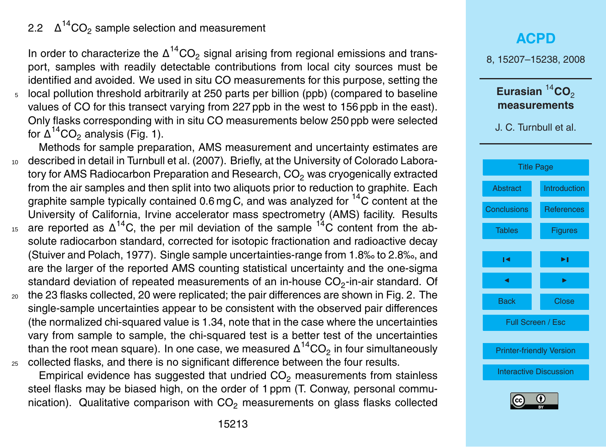#### 2.2 ∆  $\Delta^{14}$ CO<sub>2</sub> sample selection and measurement

In order to characterize the  $\Delta^{14}CO_2$  signal arising from regional emissions and transport, samples with readily detectable contributions from local city sources must be identified and avoided. We used in situ CO measurements for this purpose, setting the <sup>5</sup> local pollution threshold arbitrarily at 250 parts per billion (ppb) (compared to baseline values of CO for this transect varying from 227 ppb in the west to 156 ppb in the east). Only flasks corresponding with in situ CO measurements below 250 ppb were selected for  $\Delta^{14}$ CO<sub>2</sub> analysis (Fig. 1).

Methods for sample preparation, AMS measurement and uncertainty estimates are <sup>10</sup> described in detail in Turnbull et al. (2007). Briefly, at the University of Colorado Laboratory for AMS Radiocarbon Preparation and Research, CO<sub>2</sub> was cryogenically extracted from the air samples and then split into two aliquots prior to reduction to graphite. Each graphite sample typically contained 0.6 mg C, and was analyzed for  ${}^{14}C$  content at the University of California, Irvine accelerator mass spectrometry (AMS) facility. Results 15 are reported as  $\Delta^{14}$ C, the per mil deviation of the sample  $^{14}$ C content from the absolute radiocarbon standard, corrected for isotopic fractionation and radioactive decay

- (Stuiver and Polach, 1977). Single sample uncertainties-range from 1.8‰ to 2.8‰, and are the larger of the reported AMS counting statistical uncertainty and the one-sigma standard deviation of repeated measurements of an in-house CO<sub>2</sub>-in-air standard. Of
- <sup>20</sup> the 23 flasks collected, 20 were replicated; the pair differences are shown in Fig. 2. The single-sample uncertainties appear to be consistent with the observed pair differences (the normalized chi-squared value is 1.34, note that in the case where the uncertainties vary from sample to sample, the chi-squared test is a better test of the uncertainties than the root mean square). In one case, we measured  $\Delta ^{14} \rm CO_2$  in four simultaneously  $25$  collected flasks, and there is no significant difference between the four results.

Empirical evidence has suggested that undried  $CO<sub>2</sub>$  measurements from stainless steel flasks may be biased high, on the order of 1 ppm (T. Conway, personal communication). Qualitative comparison with  $CO<sub>2</sub>$  measurements on glass flasks collected

### **[ACPD](http://www.atmos-chem-phys-discuss.net)** 8, 15207–15238, 2008 Eurasian<sup>14</sup>CO<sub>2</sub> **measurements** J. C. Turnbull et al. [Title Page](#page-0-0) [Abstract](#page-1-0) [Introduction](#page-2-0) [Conclusions](#page-17-0) [References](#page-18-0) Tables **[Figures](#page-25-0)**  $\overline{\phantom{a}}$  $\sim$  J  $\sim$ Back Close Full Screen / Esc [Printer-friendly Version](http://www.atmos-chem-phys-discuss.net/8/15207/2008/acpd-8-15207-2008-print.pdf) [Interactive Discussion](http://www.atmos-chem-phys-discuss.net/8/15207/2008/acpd-8-15207-2008-discussion.html)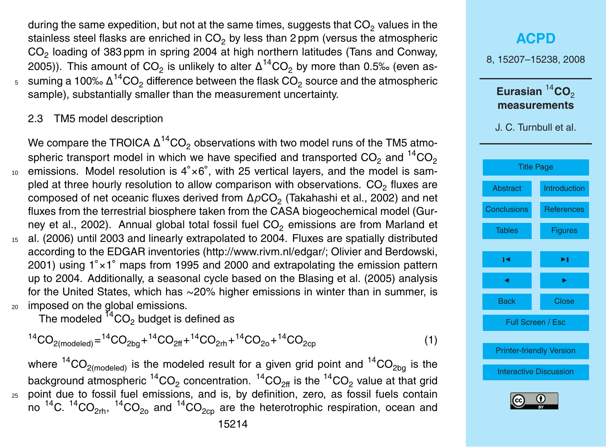during the same expedition, but not at the same times, suggests that  $CO<sub>2</sub>$  values in the stainless steel flasks are enriched in  $CO<sub>2</sub>$  by less than 2 ppm (versus the atmospheric  $CO_2$  loading of 383 ppm in spring 2004 at high northern latitudes (Tans and Conway, 2005)). This amount of CO<sub>2</sub> is unlikely to alter  $\Delta ^{14} \text{CO}_2$  by more than 0.5‰ (even as- $\,$  suming a 100‰  $\Delta^{14}$ CO $_2$  difference between the flask CO $_2$  source and the atmospheric sample), substantially smaller than the measurement uncertainty.

#### 2.3 TM5 model description

We compare the TROICA  $\Delta^{14}$ CO<sub>2</sub> observations with two model runs of the TM5 atmospheric transport model in which we have specified and transported  $CO<sub>2</sub>$  and  $^{14}CO<sub>2</sub>$ <sup>10</sup> emissions. Model resolution is 4°×6°, with 25 vertical layers, and the model is sampled at three hourly resolution to allow comparison with observations.  $CO<sub>2</sub>$  fluxes are composed of net oceanic fluxes derived from  $\Delta\rho\mathrm{CO}_2$  (Takahashi et al., 2002) and net fluxes from the terrestrial biosphere taken from the CASA biogeochemical model (Gurney et al., 2002). Annual global total fossil fuel  $CO<sub>2</sub>$  emissions are from Marland et <sup>15</sup> al. (2006) until 2003 and linearly extrapolated to 2004. Fluxes are spatially distributed according to the EDGAR inventories [\(http://www.rivm.nl/edgar/;](http://www.rivm.nl/edgar/) Olivier and Berdowski, 2001) using 1° × 1° maps from 1995 and 2000 and extrapolating the emission pattern up to 2004. Additionally, a seasonal cycle based on the Blasing et al. (2005) analysis for the United States, which has ∼20% higher emissions in winter than in summer, is <sup>20</sup> imposed on the global emissions.

The modeled  ${}^{14}CO<sub>2</sub>$  budget is defined as

$$
{}^{14}CO_{2 \text{(modeled)}} = {}^{14}CO_{2bg} + {}^{14}CO_{2ff} + {}^{14}CO_{2rh} + {}^{14}CO_{2o} + {}^{14}CO_{2cp}
$$
 (1)

where <sup>14</sup>CO<sub>2(modeled</sub>) is the modeled result for a given grid point and <sup>14</sup>CO<sub>2bg</sub> is the background atmospheric  $^{14} \rm CO_2$  concentration.  $^{14} \rm CO_{2ff}$  is the  $^{14} \rm CO_2$  value at that grid <sup>25</sup> point due to fossil fuel emissions, and is, by definition, zero, as fossil fuels contain no <sup>14</sup>C. <sup>14</sup>CO<sub>2rh</sub>, <sup>14</sup>CO<sub>2o</sub> and <sup>14</sup>CO<sub>2cp</sub> are the heterotrophic respiration, ocean and

| ACPD                             |            |
|----------------------------------|------------|
| 8, 15207–15238, 2008             |            |
| Eurasian $^{14}$ CO <sub>2</sub> |            |
| measurements                     |            |
| J. C. Turnbull et al.            |            |
| Title Page                       |            |
| Abstract Introduction            |            |
| Conclusions                      | References |
| Tables                           | Figures    |
| I                                | Al         |
| Back                             | Close      |
| Full Screen / Esc                |            |
| Phinter-friendly Version         |            |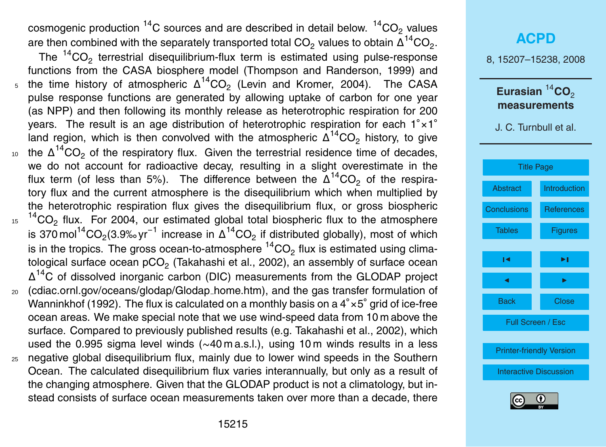cosmogenic production <sup>14</sup>C sources and are described in detail below.  ${}^{14}CO_{2}$  values are then combined with the separately transported total CO<sub>2</sub> values to obtain  $\Delta^{14}$ CO<sub>2</sub>.

The  $14^{\circ}CO_{2}$  terrestrial disequilibrium-flux term is estimated using pulse-response functions from the CASA biosphere model (Thompson and Randerson, 1999) and  $_5$  the time history of atmospheric  $Δ^{14}CO_2$  (Levin and Kromer, 2004). The CASA pulse response functions are generated by allowing uptake of carbon for one year (as NPP) and then following its monthly release as heterotrophic respiration for 200 years. The result is an age distribution of heterotrophic respiration for each 1◦×1 ◦ land region, which is then convolved with the atmospheric  $\Delta^{14}$ CO<sub>2</sub> history, to give 10 the Δ<sup>14</sup>CO<sub>2</sub> of the respiratory flux. Given the terrestrial residence time of decades, we do not account for radioactive decay, resulting in a slight overestimate in the flux term (of less than 5%). The difference between the  $\Delta^{14}CO_2$  of the respiratory flux and the current atmosphere is the disequilibrium which when multiplied by the heterotrophic respiration flux gives the disequilibrium flux, or gross biospheric  $15<sup>14</sup>CO<sub>2</sub>$  flux. For 2004, our estimated global total biospheric flux to the atmosphere is 370 mol<sup>14</sup>CO<sub>2</sub>(3.9‰ yr<sup>−1</sup> increase in Δ<sup>14</sup>CO<sub>2</sub> if distributed globally), most of which is in the tropics. The gross ocean-to-atmosphere  ${}^{14}CO<sub>2</sub>$  flux is estimated using climatological surface ocean pCO $_{\rm 2}$  (Takahashi et al., 2002), an assembly of surface ocean  $\Delta^{14}$ C of dissolved inorganic carbon (DIC) measurements from the GLODAP project <sup>20</sup> [\(cdiac.ornl.gov/oceans/glodap/Glodap](cdiac.ornl.gov/oceans/glodap/Glodap_home.htm) home.htm), and the gas transfer formulation of Wanninkhof (1992). The flux is calculated on a monthly basis on a 4◦×5 ◦ grid of ice-free ocean areas. We make special note that we use wind-speed data from 10 m above the surface. Compared to previously published results (e.g. Takahashi et al., 2002), which used the 0.995 sigma level winds (~40 m a.s.l.), using 10 m winds results in a less <sup>25</sup> negative global disequilibrium flux, mainly due to lower wind speeds in the Southern Ocean. The calculated disequilibrium flux varies interannually, but only as a result of the changing atmosphere. Given that the GLODAP product is not a climatology, but instead consists of surface ocean measurements taken over more than a decade, there



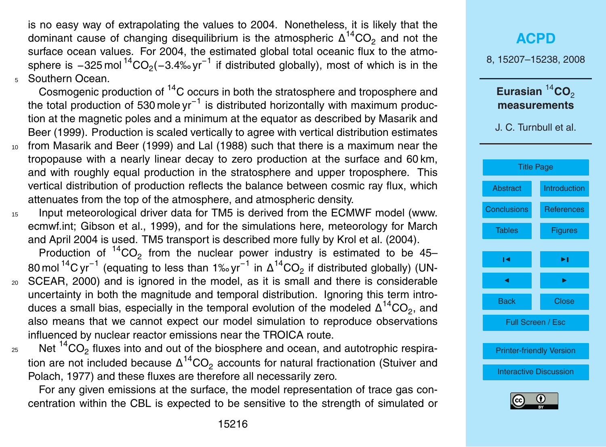is no easy way of extrapolating the values to 2004. Nonetheless, it is likely that the dominant cause of changing disequilibrium is the atmospheric  $\Delta^{14}$ CO<sub>2</sub> and not the surface ocean values. For 2004, the estimated global total oceanic flux to the atmosphere is −325 mol<sup>14</sup>CO<sub>2</sub>(−3.4‰ yr $^{-1}$  if distributed globally), most of which is in the <sup>5</sup> Southern Ocean.

Cosmogenic production of <sup>14</sup>C occurs in both the stratosphere and troposphere and the total production of 530 mole yr<sup>-1</sup> is distributed horizontally with maximum production at the magnetic poles and a minimum at the equator as described by Masarik and Beer (1999). Production is scaled vertically to agree with vertical distribution estimates <sup>10</sup> from Masarik and Beer (1999) and Lal (1988) such that there is a maximum near the tropopause with a nearly linear decay to zero production at the surface and 60 km, and with roughly equal production in the stratosphere and upper troposphere. This vertical distribution of production reflects the balance between cosmic ray flux, which

<sup>15</sup> Input meteorological driver data for TM5 is derived from the ECMWF model [\(www.](www.ecmwf.int) [ecmwf.int;](www.ecmwf.int) Gibson et al., 1999), and for the simulations here, meteorology for March and April 2004 is used. TM5 transport is described more fully by Krol et al. (2004).

attenuates from the top of the atmosphere, and atmospheric density.

Production of  ${}^{14}CO_2$  from the nuclear power industry is estimated to be 45– 80 mol <sup>14</sup>C yr<sup>−1</sup> (equating to less than 1‰ yr<sup>−1</sup> in Δ<sup>14</sup>CO<sub>2</sub> if distributed globally) (UN-<sup>20</sup> SCEAR, 2000) and is ignored in the model, as it is small and there is considerable uncertainty in both the magnitude and temporal distribution. Ignoring this term intro-

- duces a small bias, especially in the temporal evolution of the modeled  $\Delta^{14} \text{CO}_2$ , and also means that we cannot expect our model simulation to reproduce observations influenced by nuclear reactor emissions near the TROICA route.
- $_{25}$  Net  $^{14}CO_{2}$  fluxes into and out of the biosphere and ocean, and autotrophic respiration are not included because  $\Delta ^{14} \text{CO}_2$  accounts for natural fractionation (Stuiver and Polach, 1977) and these fluxes are therefore all necessarily zero.

For any given emissions at the surface, the model representation of trace gas concentration within the CBL is expected to be sensitive to the strength of simulated or



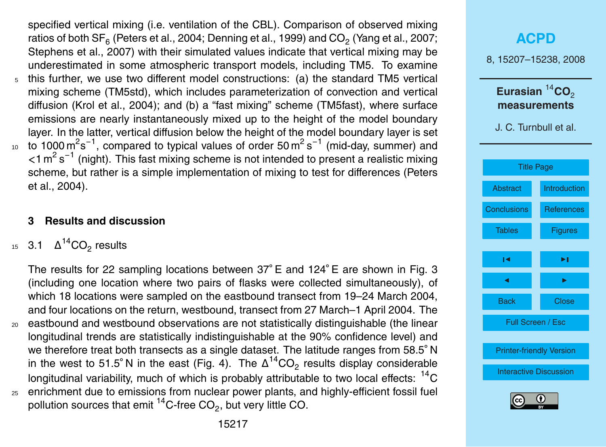specified vertical mixing (i.e. ventilation of the CBL). Comparison of observed mixing ratios of both  $\mathsf{SF}_6$  (Peters et al., 2004; Denning et al., 1999) and CO $_2$  (Yang et al., 2007; Stephens et al., 2007) with their simulated values indicate that vertical mixing may be underestimated in some atmospheric transport models, including TM5. To examine <sup>5</sup> this further, we use two different model constructions: (a) the standard TM5 vertical mixing scheme (TM5std), which includes parameterization of convection and vertical diffusion (Krol et al., 2004); and (b) a "fast mixing" scheme (TM5fast), where surface emissions are nearly instantaneously mixed up to the height of the model boundary layer. In the latter, vertical diffusion below the height of the model boundary layer is set

10 to 1000 m<sup>2</sup>s<sup>-1</sup>, compared to typical values of order 50 m<sup>2</sup>s<sup>-1</sup> (mid-day, summer) and <1 m<sup>2</sup> s<sup>-1</sup> (night). This fast mixing scheme is not intended to present a realistic mixing scheme, but rather is a simple implementation of mixing to test for differences (Peters et al., 2004).

#### **3 Results and discussion**

15 3.1  $Δ^{14}CO<sub>2</sub>$  results

The results for 22 sampling locations between 37◦ E and 124◦ E are shown in Fig. 3 (including one location where two pairs of flasks were collected simultaneously), of which 18 locations were sampled on the eastbound transect from 19–24 March 2004, and four locations on the return, westbound, transect from 27 March–1 April 2004. The <sup>20</sup> eastbound and westbound observations are not statistically distinguishable (the linear longitudinal trends are statistically indistinguishable at the 90% confidence level) and we therefore treat both transects as a single dataset. The latitude ranges from 58.5<sup>°</sup> N in the west to 51.5° N in the east (Fig. 4). The  $\Delta ^{14} \text{CO}_2$  results display considerable longitudinal variability, much of which is probably attributable to two local effects:  ${}^{14}C$ <sup>25</sup> enrichment due to emissions from nuclear power plants, and highly-efficient fossil fuel pollution sources that emit  $^{14}$ C-free CO<sub>2</sub>, but very little CO.

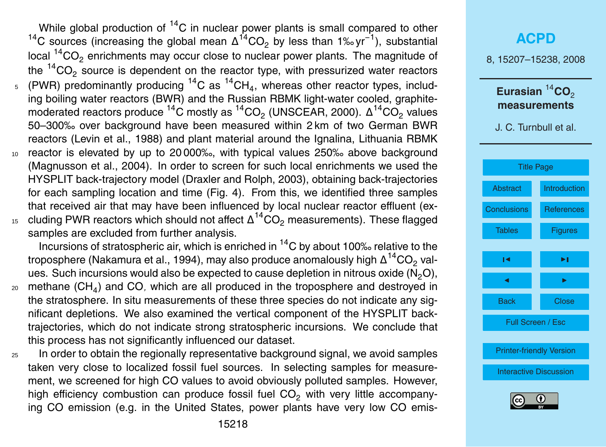While global production of  $^{14}$ C in nuclear power plants is small compared to other <sup>14</sup>C sources (increasing the global mean  $\Delta^{14}CO_2$  by less than 1‰ yr<sup>-1</sup>), substantial local  $14^{\circ}CO_{2}$  enrichments may occur close to nuclear power plants. The magnitude of the  $14$ CO<sub>2</sub> source is dependent on the reactor type, with pressurized water reactors  $_5$  (PWR) predominantly producing  $^{14}$ C as  $^{14}$ CH<sub>4</sub>, whereas other reactor types, including boiling water reactors (BWR) and the Russian RBMK light-water cooled, graphitemoderated reactors produce  $^{14}$ C mostly as  $^{14}$ CO<sub>2</sub> (UNSCEAR, 2000).  $\Delta ^{14}$ CO<sub>2</sub> values 50–300‰ over background have been measured within 2 km of two German BWR reactors (Levin et al., 1988) and plant material around the Ignalina, Lithuania RBMK <sup>10</sup> reactor is elevated by up to 20 000‰, with typical values 250‰ above background (Magnusson et al., 2004). In order to screen for such local enrichments we used the HYSPLIT back-trajectory model (Draxler and Rolph, 2003), obtaining back-trajectories for each sampling location and time (Fig. 4). From this, we identified three samples that received air that may have been influenced by local nuclear reactor effluent (ex-15 cluding PWR reactors which should not affect  $\Delta ^{14}CO_2$  measurements). These flagged

samples are excluded from further analysis. Incursions of stratospheric air, which is enriched in  ${}^{14}C$  by about 100‰ relative to the troposphere (Nakamura et al., 1994), may also produce anomalously high  $\Delta^{14} \mathrm{CO}_2$  values. Such incursions would also be expected to cause depletion in nitrous oxide  $(N_2O)$ ,

- $_{20}$  methane (CH<sub>4</sub>) and CO, which are all produced in the troposphere and destroyed in the stratosphere. In situ measurements of these three species do not indicate any significant depletions. We also examined the vertical component of the HYSPLIT backtrajectories, which do not indicate strong stratospheric incursions. We conclude that this process has not significantly influenced our dataset.
- <sup>25</sup> In order to obtain the regionally representative background signal, we avoid samples taken very close to localized fossil fuel sources. In selecting samples for measurement, we screened for high CO values to avoid obviously polluted samples. However, high efficiency combustion can produce fossil fuel  $CO<sub>2</sub>$  with very little accompanying CO emission (e.g. in the United States, power plants have very low CO emis-

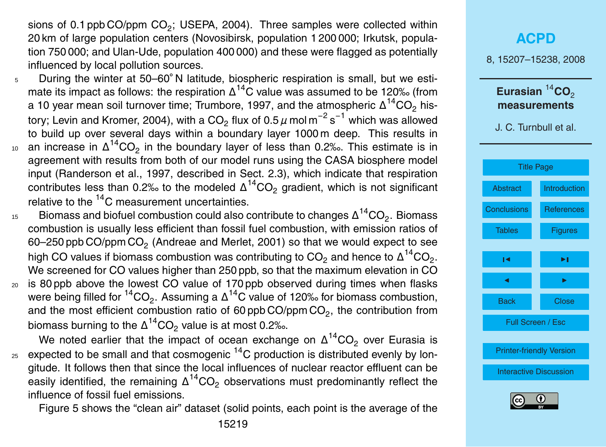sions of 0.1 ppb CO/ppm  $CO_2$ ; USEPA, 2004). Three samples were collected within 20 km of large population centers (Novosibirsk, population 1 200 000; Irkutsk, population 750 000; and Ulan-Ude, population 400 000) and these were flagged as potentially influenced by local pollution sources.

- 5 During the winter at 50–60°N latitude, biospheric respiration is small, but we estimate its impact as follows: the respiration  $\Delta^{14}$ C value was assumed to be 120‰ (from a 10 year mean soil turnover time; Trumbore, 1997, and the atmospheric  $\Delta ^{14} \rm CO_2$  history; Levin and Kromer, 2004), with a CO<sub>2</sub> flux of 0.5  $\mu$  mol m<sup>−2</sup> s<sup>−1</sup> which was allowed to build up over several days within a boundary layer 1000 m deep. This results in 10 an increase in  $Δ^{14}CO_2$  in the boundary layer of less than 0.2‰. This estimate is in agreement with results from both of our model runs using the CASA biosphere model input (Randerson et al., 1997, described in Sect. 2.3), which indicate that respiration contributes less than 0.2‰ to the modeled  $\Delta^{14} \text{CO}_2$  gradient, which is not significant relative to the  $14<sup>4</sup>C$  measurement uncertainties.
- $_{^{15}}$   $\,$  Biomass and biofuel combustion could also contribute to changes  $\Delta ^{14} \text{CO}_2.$  Biomass combustion is usually less efficient than fossil fuel combustion, with emission ratios of 60–250 ppb CO/ppm CO $_2$  (Andreae and Merlet, 2001) so that we would expect to see high CO values if biomass combustion was contributing to CO<sub>2</sub> and hence to  $\Delta^{14}$ CO<sub>2</sub>. We screened for CO values higher than 250 ppb, so that the maximum elevation in CO  $20$  is 80 ppb above the lowest CO value of 170 ppb observed during times when flasks were being filled for  $\mathrm{^{14}CO_{2}}$ . Assuming a  $\Delta \mathrm{^{14}C}$  value of 120‰ for biomass combustion,
- and the most efficient combustion ratio of 60 ppb CO/ppm CO<sub>2</sub>, the contribution from biomass burning to the  $\Delta ^{14} \rm CO_2$  value is at most 0.2‰.

We noted earlier that the impact of ocean exchange on  $\Delta^{14} \text{CO}_2$  over Eurasia is  $_{25}$  expected to be small and that cosmogenic  $^{14}$ C production is distributed evenly by longitude. It follows then that since the local influences of nuclear reactor effluent can be easily identified, the remaining  $\Delta^{14}CO_{2}$  observations must predominantly reflect the influence of fossil fuel emissions.

Figure 5 shows the "clean air" dataset (solid points, each point is the average of the

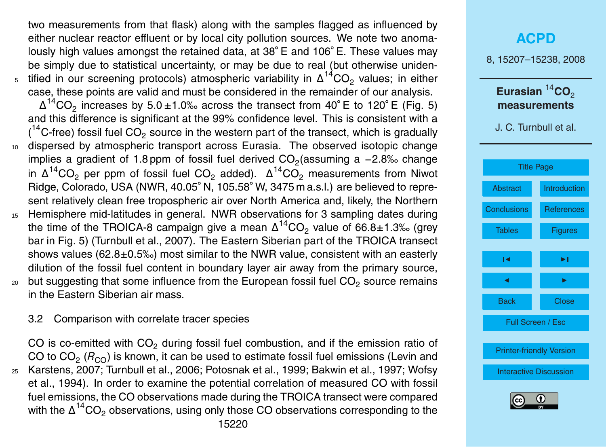two measurements from that flask) along with the samples flagged as influenced by either nuclear reactor effluent or by local city pollution sources. We note two anomalously high values amongst the retained data, at 38◦ E and 106◦ E. These values may be simply due to statistical uncertainty, or may be due to real (but otherwise uniden- $5$  tified in our screening protocols) atmospheric variability in  $Δ^{14}CO_2$  values; in either case, these points are valid and must be considered in the remainder of our analysis.  $\Delta^{14}$ CO<sub>2</sub> increases by 5.0 ± 1.0‰ across the transect from 40° E to 120° E (Fig. 5) and this difference is significant at the 99% confidence level. This is consistent with a  $(14C$ -free) fossil fuel CO<sub>2</sub> source in the western part of the transect, which is gradually <sup>10</sup> dispersed by atmospheric transport across Eurasia. The observed isotopic change implies a gradient of 1.8 ppm of fossil fuel derived CO<sub>2</sub> (assuming a -2.8‰ change in  $\Delta ^{14}CO_2$  per ppm of fossil fuel CO<sub>2</sub> added).  $\Delta ^{14}CO_2$  measurements from Niwot Ridge, Colorado, USA (NWR, 40.05◦ N, 105.58◦ W, 3475 m a.s.l.) are believed to represent relatively clean free tropospheric air over North America and, likely, the Northern <sup>15</sup> Hemisphere mid-latitudes in general. NWR observations for 3 sampling dates during the time of the TROICA-8 campaign give a mean  $\Delta ^{14} \text{CO}_2$  value of 66.8±1.3‰ (grey bar in Fig. 5) (Turnbull et al., 2007). The Eastern Siberian part of the TROICA transect

shows values (62.8±0.5‰) most similar to the NWR value, consistent with an easterly dilution of the fossil fuel content in boundary layer air away from the primary source,  $20$  but suggesting that some influence from the European fossil fuel  $CO<sub>2</sub>$  source remains in the Eastern Siberian air mass.

#### 3.2 Comparison with correlate tracer species

CO is co-emitted with  $CO<sub>2</sub>$  during fossil fuel combustion, and if the emission ratio of CO to CO<sub>2</sub> (R<sub>CO</sub>) is known, it can be used to estimate fossil fuel emissions (Levin and <sup>25</sup> Karstens, 2007; Turnbull et al., 2006; Potosnak et al., 1999; Bakwin et al., 1997; Wofsy et al., 1994). In order to examine the potential correlation of measured CO with fossil fuel emissions, the CO observations made during the TROICA transect were compared with the  $\Delta^{14}$ CO<sub>2</sub> observations, using only those CO observations corresponding to the

### **[ACPD](http://www.atmos-chem-phys-discuss.net)** 8, 15207–15238, 2008 Eurasian<sup>14</sup>CO<sub>2</sub> **measurements** J. C. Turnbull et al. [Title Page](#page-0-0) [Abstract](#page-1-0) [Introduction](#page-2-0) [Conclusions](#page-17-0) [References](#page-18-0) Tables **[Figures](#page-25-0)**  $\overline{\phantom{a}}$  $\sim$  J  $\sim$ Back Close Full Screen / Esc [Printer-friendly Version](http://www.atmos-chem-phys-discuss.net/8/15207/2008/acpd-8-15207-2008-print.pdf) [Interactive Discussion](http://www.atmos-chem-phys-discuss.net/8/15207/2008/acpd-8-15207-2008-discussion.html)

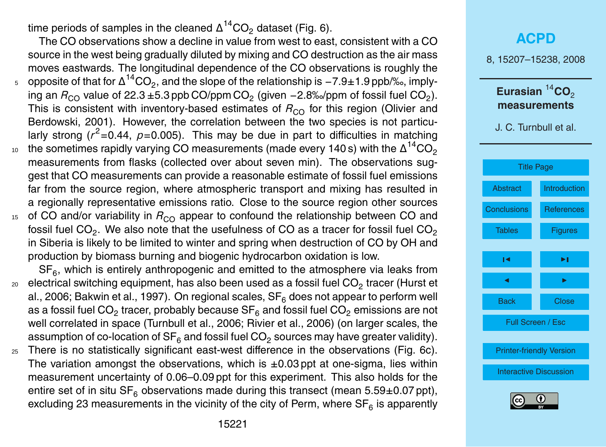time periods of samples in the cleaned  $\Delta ^{14} \text{CO}_2$  dataset (Fig. 6).

The CO observations show a decline in value from west to east, consistent with a CO source in the west being gradually diluted by mixing and CO destruction as the air mass moves eastwards. The longitudinal dependence of the CO observations is roughly the  $_5$   $\,$  opposite of that for  $\Delta ^{14}CO_2$ , and the slope of the relationship is  $-7.9\pm 1.9$  ppb/‰, implying an  $R_{\rm CO}$  value of 22.3 ±5.3 ppb CO/ppm CO<sub>2</sub> (given −2.8‰/ppm of fossil fuel CO<sub>2</sub>). This is consistent with inventory-based estimates of  $R_{\rm CO}$  for this region (Olivier and Berdowski, 2001). However, the correlation between the two species is not particularly strong ( $r^2$ =0.44,  $p$ =0.005). This may be due in part to difficulties in matching

- the sometimes rapidly varying CO measurements (made every 140 s) with the  $\Delta ^{14} \rm CO_2$ 10 measurements from flasks (collected over about seven min). The observations suggest that CO measurements can provide a reasonable estimate of fossil fuel emissions far from the source region, where atmospheric transport and mixing has resulted in a regionally representative emissions ratio. Close to the source region other sources
- 15 of CO and/or variability in  $R_{\text{CO}}$  appear to confound the relationship between CO and fossil fuel CO $_2$ . We also note that the usefulness of CO as a tracer for fossil fuel CO $_2$ in Siberia is likely to be limited to winter and spring when destruction of CO by OH and production by biomass burning and biogenic hydrocarbon oxidation is low.

 $SF<sub>6</sub>$ , which is entirely anthropogenic and emitted to the atmosphere via leaks from  $_{\rm 20}$   $\,$  electrical switching equipment, has also been used as a fossil fuel CO $_{2}$  tracer (Hurst et al., 2006; Bakwin et al., 1997). On regional scales,  $SF<sub>6</sub>$  does not appear to perform well as a fossil fuel CO $_2$  tracer, probably because SF $_6$  and fossil fuel CO $_2$  emissions are not well correlated in space (Turnbull et al., 2006; Rivier et al., 2006) (on larger scales, the assumption of co-location of SF $_6$  and fossil fuel CO $_2$  sources may have greater validity).

<sup>25</sup> There is no statistically significant east-west difference in the observations (Fig. 6c). The variation amongst the observations, which is  $\pm 0.03$  ppt at one-sigma, lies within measurement uncertainty of 0.06–0.09 ppt for this experiment. This also holds for the entire set of in situ  $SF<sub>6</sub>$  observations made during this transect (mean  $5.59\pm0.07$  ppt), excluding 23 measurements in the vicinity of the city of Perm, where  $\mathsf{SF}_{6}$  is apparently

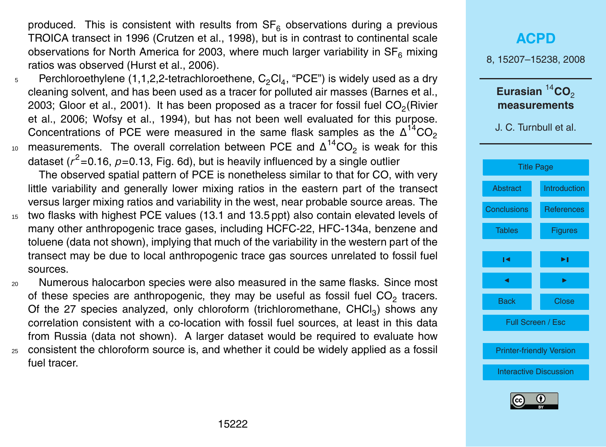produced. This is consistent with results from  $SF<sub>6</sub>$  observations during a previous TROICA transect in 1996 (Crutzen et al., 1998), but is in contrast to continental scale observations for North America for 2003, where much larger variability in  $SF<sub>6</sub>$  mixing ratios was observed (Hurst et al., 2006).

- $_5$  Perchloroethylene (1,1,2,2-tetrachloroethene,  $\mathsf{C}_2\mathsf{Cl}_4$ , "PCE") is widely used as a dry cleaning solvent, and has been used as a tracer for polluted air masses (Barnes et al., 2003; Gloor et al., 2001). It has been proposed as a tracer for fossil fuel CO<sub>2</sub>(Rivier et al., 2006; Wofsy et al., 1994), but has not been well evaluated for this purpose. Concentrations of PCE were measured in the same flask samples as the  $\Delta^{14}CO_2$
- 10 measurements. The overall correlation between PCE and  $Δ^{14}CO_2$  is weak for this dataset (*r* <sup>2</sup>=0.16, *p*=0.13, Fig. 6d), but is heavily influenced by a single outlier

The observed spatial pattern of PCE is nonetheless similar to that for CO, with very little variability and generally lower mixing ratios in the eastern part of the transect versus larger mixing ratios and variability in the west, near probable source areas. The

- <sup>15</sup> two flasks with highest PCE values (13.1 and 13.5 ppt) also contain elevated levels of many other anthropogenic trace gases, including HCFC-22, HFC-134a, benzene and toluene (data not shown), implying that much of the variability in the western part of the transect may be due to local anthropogenic trace gas sources unrelated to fossil fuel sources.
- <sup>20</sup> Numerous halocarbon species were also measured in the same flasks. Since most of these species are anthropogenic, they may be useful as fossil fuel  $\text{CO}_2$  tracers. Of the 27 species analyzed, only chloroform (trichloromethane,  $CHCl<sub>3</sub>$ ) shows any correlation consistent with a co-location with fossil fuel sources, at least in this data from Russia (data not shown). A larger dataset would be required to evaluate how <sup>25</sup> consistent the chloroform source is, and whether it could be widely applied as a fossil
- fuel tracer.

| <b>ACPD</b>                                   |                   |  |
|-----------------------------------------------|-------------------|--|
| 8, 15207-15238, 2008                          |                   |  |
| Eurasian $14$ CO <sub>2</sub><br>measurements |                   |  |
| J. C. Turnbull et al.                         |                   |  |
|                                               |                   |  |
| <b>Title Page</b>                             |                   |  |
| <b>Abstract</b>                               | Introduction      |  |
| <b>Conclusions</b>                            | <b>References</b> |  |
| <b>Tables</b>                                 | <b>Figures</b>    |  |
| ıч                                            | ы                 |  |
| ◀                                             | ▶                 |  |
| Back                                          | <b>Close</b>      |  |
|                                               | Full Screen / Esc |  |
| <b>Printer-friendly Version</b>               |                   |  |
|                                               |                   |  |
| <b>Interactive Discussion</b>                 |                   |  |
| 0<br>(cc)                                     |                   |  |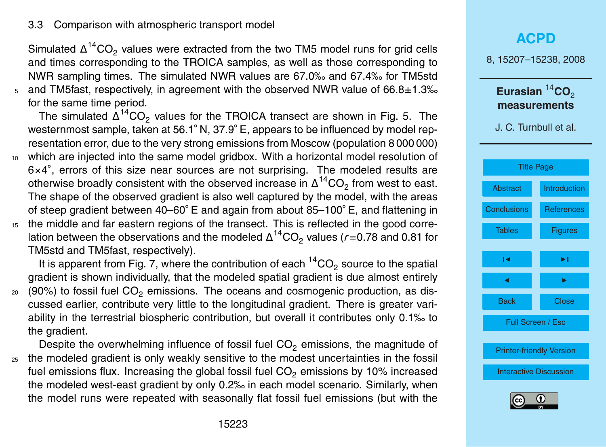#### 3.3 Comparison with atmospheric transport model

Simulated  $\Delta^{14} \text{CO}_2$  values were extracted from the two TM5 model runs for grid cells and times corresponding to the TROICA samples, as well as those corresponding to NWR sampling times. The simulated NWR values are 67.0‰ and 67.4‰ for TM5std  $5.$  and TM5fast, respectively, in agreement with the observed NWR value of 66.8 $\pm$ 1.3‰ for the same time period.

The simulated  $\Delta^{14}$ CO<sub>2</sub> values for the TROICA transect are shown in Fig. 5. The westernmost sample, taken at 56.1◦ N, 37.9◦ E, appears to be influenced by model representation error, due to the very strong emissions from Moscow (population 8 000 000) <sup>10</sup> which are injected into the same model gridbox. With a horizontal model resolution of 6×4 ◦ , errors of this size near sources are not surprising. The modeled results are otherwise broadly consistent with the observed increase in  $\Delta ^{14} \text{CO}_2$  from west to east. The shape of the observed gradient is also well captured by the model, with the areas of steep gradient between 40–60◦ E and again from about 85–100◦ E, and flattening in

<sup>15</sup> the middle and far eastern regions of the transect. This is reflected in the good correlation between the observations and the modeled  $\Delta ^{14} \text{CO}_2$  values (*r* =0.78 and 0.81 for TM5std and TM5fast, respectively).

It is apparent from Fig. 7, where the contribution of each  ${}^{14}CO_2$  source to the spatial gradient is shown individually, that the modeled spatial gradient is due almost entirely  $20$  (90%) to fossil fuel CO<sub>2</sub> emissions. The oceans and cosmogenic production, as discussed earlier, contribute very little to the longitudinal gradient. There is greater variability in the terrestrial biospheric contribution, but overall it contributes only 0.1‰ to the gradient.

Despite the overwhelming influence of fossil fuel  $CO<sub>2</sub>$  emissions, the magnitude of <sup>25</sup> the modeled gradient is only weakly sensitive to the modest uncertainties in the fossil fuel emissions flux. Increasing the global fossil fuel  $CO<sub>2</sub>$  emissions by 10% increased the modeled west-east gradient by only 0.2‰ in each model scenario. Similarly, when the model runs were repeated with seasonally flat fossil fuel emissions (but with the

### **[ACPD](http://www.atmos-chem-phys-discuss.net)** 8, 15207–15238, 2008 Eurasian<sup>14</sup>CO<sub>2</sub> **measurements** J. C. Turnbull et al.



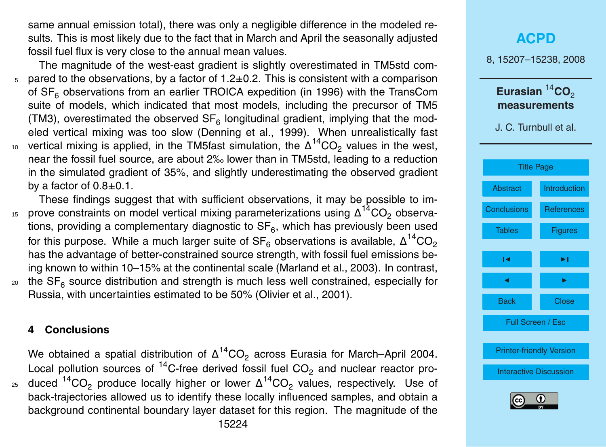<span id="page-17-0"></span>same annual emission total), there was only a negligible difference in the modeled results. This is most likely due to the fact that in March and April the seasonally adjusted fossil fuel flux is very close to the annual mean values.

The magnitude of the west-east gradient is slightly overestimated in TM5std com- $5$  pared to the observations, by a factor of 1.2 $\pm$ 0.2. This is consistent with a comparison of  $SF<sub>6</sub>$  observations from an earlier TROICA expedition (in 1996) with the TransCom suite of models, which indicated that most models, including the precursor of TM5 (TM3), overestimated the observed  $SF_{6}$  longitudinal gradient, implying that the modeled vertical mixing was too slow (Denning et al., 1999). When unrealistically fast 10 vertical mixing is applied, in the TM5fast simulation, the  $Δ^{14}CO_2$  values in the west, near the fossil fuel source, are about 2‰ lower than in TM5std, leading to a reduction in the simulated gradient of 35%, and slightly underestimating the observed gradient by a factor of 0.8±0.1.

These findings suggest that with sufficient observations, it may be possible to im-15 prove constraints on model vertical mixing parameterizations using  $Δ^{14}CO_2$  observations, providing a complementary diagnostic to  $\text{SF}_6$ , which has previously been used for this purpose. While a much larger suite of SF<sub>6</sub> observations is available,  $\Delta^{14} \rm CO_2$ has the advantage of better-constrained source strength, with fossil fuel emissions being known to within 10–15% at the continental scale (Marland et al., 2003). In contrast,

 $_{\rm 20}$  the SF<sub>6</sub> source distribution and strength is much less well constrained, especially for Russia, with uncertainties estimated to be 50% (Olivier et al., 2001).

#### **4 Conclusions**

We obtained a spatial distribution of  $\Delta^{14} \text{CO}_2$  across Eurasia for March–April 2004. Local pollution sources of  $^{14}$ C-free derived fossil fuel CO<sub>2</sub> and nuclear reactor pro-<sup>25</sup> duced  $^{14} \text{CO}_2$  produce locally higher or lower  $\Delta^{14} \text{CO}_2$  values, respectively. Use of back-trajectories allowed us to identify these locally influenced samples, and obtain a background continental boundary layer dataset for this region. The magnitude of the

| ACPD                     |              |
|--------------------------|--------------|
| 8, 15207–15238, 2008     |              |
| Eurasian ${}^{14}CO_2$   |              |
| measurements             |              |
| J. C. Turnbull et al.    |              |
| Title Page               |              |
| Abstract                 | Introduction |
| Conclusions              | References   |
| Tables                   | Figures      |
| 14                       | ▶            |
| Back                     | Close        |
| Full Screen / Esc        |              |
| Printer-friendly Version |              |
| Interactive Discussion   |              |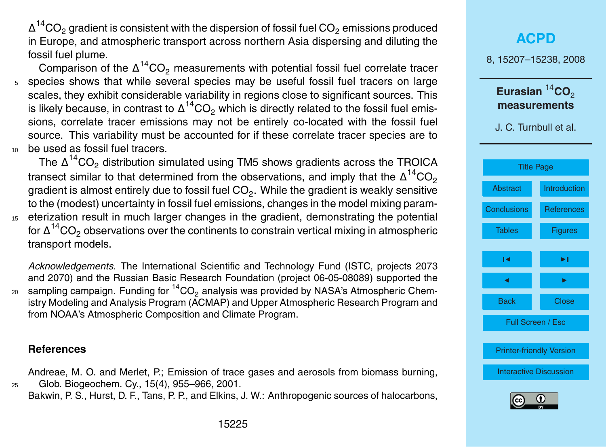<span id="page-18-0"></span> $\Delta ^{14} \text{CO}_2$  gradient is consistent with the dispersion of fossil fuel  $\text{CO}_2$  emissions produced in Europe, and atmospheric transport across northern Asia dispersing and diluting the fossil fuel plume.

Comparison of the  $\Delta^{14}$ CO<sub>2</sub> measurements with potential fossil fuel correlate tracer <sup>5</sup> species shows that while several species may be useful fossil fuel tracers on large scales, they exhibit considerable variability in regions close to significant sources. This is likely because, in contrast to  $\Delta ^{14} \text{CO}_2$  which is directly related to the fossil fuel emissions, correlate tracer emissions may not be entirely co-located with the fossil fuel source. This variability must be accounted for if these correlate tracer species are to <sup>10</sup> be used as fossil fuel tracers.

The  $\Delta ^{14} \text{CO}_2$  distribution simulated using TM5 shows gradients across the TROICA transect similar to that determined from the observations, and imply that the  $\Delta ^{14} \rm CO_2$ gradient is almost entirely due to fossil fuel CO $_2.$  While the gradient is weakly sensitive to the (modest) uncertainty in fossil fuel emissions, changes in the model mixing param-<sup>15</sup> eterization result in much larger changes in the gradient, demonstrating the potential for  $\Delta ^{14} \text{CO}_2$  observations over the continents to constrain vertical mixing in atmospheric transport models.

*Acknowledgements.* The International Scientific and Technology Fund (ISTC, projects 2073 and 2070) and the Russian Basic Research Foundation (project 06-05-08089) supported the  $_{\rm 20}$  sampling campaign. Funding for  $^{14} \rm CO_2$  analysis was provided by NASA's Atmospheric Chemistry Modeling and Analysis Program (ACMAP) and Upper Atmospheric Research Program and from NOAA's Atmospheric Composition and Climate Program.

#### **References**

Andreae, M. O. and Merlet, P.; Emission of trace gases and aerosols from biomass burning, <sup>25</sup> Glob. Biogeochem. Cy., 15(4), 955–966, 2001. Bakwin, P. S., Hurst, D. F., Tans, P. P., and Elkins, J. W.: Anthropogenic sources of halocarbons,

### **[ACPD](http://www.atmos-chem-phys-discuss.net)** 8, 15207–15238, 2008 Eurasian<sup>14</sup>CO<sub>2</sub> **measurements** J. C. Turnbull et al. [Title Page](#page-0-0) [Abstract](#page-1-0) [Introduction](#page-2-0) [Conclusions](#page-17-0) References Tables **[Figures](#page-25-0)**  $\overline{\phantom{a}}$  $\sim$  J  $\sim$ Back Close Full Screen / Esc [Printer-friendly Version](http://www.atmos-chem-phys-discuss.net/8/15207/2008/acpd-8-15207-2008-print.pdf) [Interactive Discussion](http://www.atmos-chem-phys-discuss.net/8/15207/2008/acpd-8-15207-2008-discussion.html)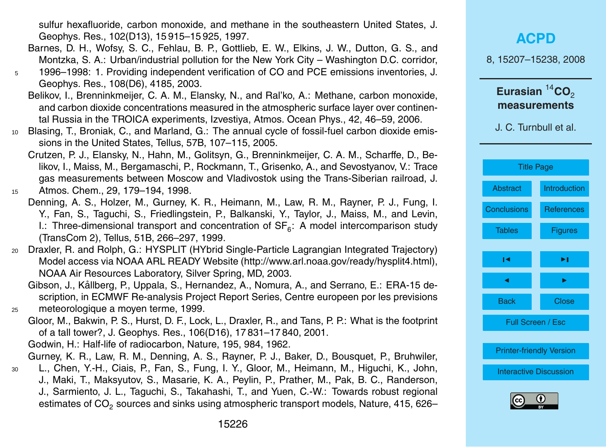sulfur hexafluoride, carbon monoxide, and methane in the southeastern United States, J. Geophys. Res., 102(D13), 15 915–15 925, 1997.

- Barnes, D. H., Wofsy, S. C., Fehlau, B. P., Gottlieb, E. W., Elkins, J. W., Dutton, G. S., and Montzka, S. A.: Urban/industrial pollution for the New York City – Washington D.C. corridor,
- <sup>5</sup> 1996–1998: 1. Providing independent verification of CO and PCE emissions inventories, J. Geophys. Res., 108(D6), 4185, 2003.
	- Belikov, I., Brenninkmeijer, C. A. M., Elansky, N., and Ral'ko, A.: Methane, carbon monoxide, and carbon dioxide concentrations measured in the atmospheric surface layer over continental Russia in the TROICA experiments, Izvestiya, Atmos. Ocean Phys., 42, 46–59, 2006.
- <sup>10</sup> Blasing, T., Broniak, C., and Marland, G.: The annual cycle of fossil-fuel carbon dioxide emissions in the United States, Tellus, 57B, 107–115, 2005.
- Crutzen, P. J., Elansky, N., Hahn, M., Golitsyn, G., Brenninkmeijer, C. A. M., Scharffe, D., Belikov, I., Maiss, M., Bergamaschi, P., Rockmann, T., Grisenko, A., and Sevostyanov, V.: Trace gas measurements between Moscow and Vladivostok using the Trans-Siberian railroad, J. <sup>15</sup> Atmos. Chem., 29, 179–194, 1998.
	- Denning, A. S., Holzer, M., Gurney, K. R., Heimann, M., Law, R. M., Rayner, P. J., Fung, I. Y., Fan, S., Taguchi, S., Friedlingstein, P., Balkanski, Y., Taylor, J., Maiss, M., and Levin, I.: Three-dimensional transport and concentration of  $SF_{6}$ : A model intercomparison study (TransCom 2), Tellus, 51B, 266–297, 1999.
- <sup>20</sup> Draxler, R. and Rolph, G.: HYSPLIT (HYbrid Single-Particle Lagrangian Integrated Trajectory) Model access via NOAA ARL READY Website [\(http://www.arl.noaa.gov/ready/hysplit4.html\)](http://www.arl.noaa.gov/ready/hysplit4.html), NOAA Air Resources Laboratory, Silver Spring, MD, 2003.
- Gibson, J., Kållberg, P., Uppala, S., Hernandez, A., Nomura, A., and Serrano, E.: ERA-15 description, in ECMWF Re-analysis Project Report Series, Centre europeen por les previsions <sup>25</sup> meteorologique a moyen terme, 1999.
	- Gloor, M., Bakwin, P. S., Hurst, D. F., Lock, L., Draxler, R., and Tans, P. P.: What is the footprint of a tall tower?, J. Geophys. Res., 106(D16), 17 831–17 840, 2001. Godwin, H.: Half-life of radiocarbon, Nature, 195, 984, 1962.
	- Gurney, K. R., Law, R. M., Denning, A. S., Rayner, P. J., Baker, D., Bousquet, P., Bruhwiler,
- <sup>30</sup> L., Chen, Y.-H., Ciais, P., Fan, S., Fung, I. Y., Gloor, M., Heimann, M., Higuchi, K., John, J., Maki, T., Maksyutov, S., Masarie, K. A., Peylin, P., Prather, M., Pak, B. C., Randerson, J., Sarmiento, J. L., Taguchi, S., Takahashi, T., and Yuen, C.-W.: Towards robust regional estimates of CO $_2$  sources and sinks using atmospheric transport models, Nature, 415, 626–

### **[ACPD](http://www.atmos-chem-phys-discuss.net)** 8, 15207–15238, 2008 Eurasian<sup>14</sup>CO<sub>2</sub> **measurements**

J. C. Turnbull et al.



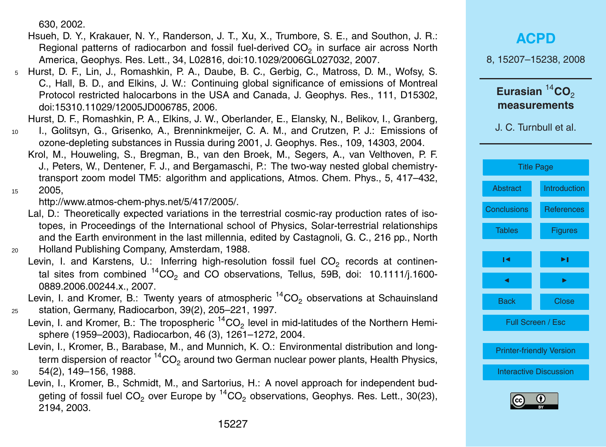630, 2002.

- Hsueh, D. Y., Krakauer, N. Y., Randerson, J. T., Xu, X., Trumbore, S. E., and Southon, J. R.: Regional patterns of radiocarbon and fossil fuel-derived CO<sub>2</sub> in surface air across North America, Geophys. Res. Lett., 34, L02816, doi:10.1029/2006GL027032, 2007.
- <sup>5</sup> Hurst, D. F., Lin, J., Romashkin, P. A., Daube, B. C., Gerbig, C., Matross, D. M., Wofsy, S. C., Hall, B. D., and Elkins, J. W.: Continuing global significance of emissions of Montreal Protocol restricted halocarbons in the USA and Canada, J. Geophys. Res., 111, D15302, doi:15310.11029/12005JD006785, 2006.

Hurst, D. F., Romashkin, P. A., Elkins, J. W., Oberlander, E., Elansky, N., Belikov, I., Granberg,

- <sup>10</sup> I., Golitsyn, G., Grisenko, A., Brenninkmeijer, C. A. M., and Crutzen, P. J.: Emissions of ozone-depleting substances in Russia during 2001, J. Geophys. Res., 109, 14303, 2004.
	- Krol, M., Houweling, S., Bregman, B., van den Broek, M., Segers, A., van Velthoven, P. F. J., Peters, W., Dentener, F. J., and Bergamaschi, P.: The two-way nested global chemistrytransport zoom model TM5: algorithm and applications, Atmos. Chem. Phys., 5, 417–432,

<sup>15</sup> 2005,

[http://www.atmos-chem-phys.net/5/417/2005/.](http://www.atmos-chem-phys.net/5/417/2005/)

- Lal, D.: Theoretically expected variations in the terrestrial cosmic-ray production rates of isotopes, in Proceedings of the International school of Physics, Solar-terrestrial relationships and the Earth environment in the last millennia, edited by Castagnoli, G. C., 216 pp., North <sup>20</sup> Holland Publishing Company, Amsterdam, 1988.
	- Levin, I. and Karstens, U.: Inferring high-resolution fossil fuel  $CO_2$  records at continental sites from combined  $^{14}CO<sub>2</sub>$  and CO observations, Tellus, 59B, doi: 10.1111/j.1600-0889.2006.00244.x., 2007.

Levin, I. and Kromer, B.: Twenty years of atmospheric  $14CO<sub>2</sub>$  observations at Schauinsland <sup>25</sup> station, Germany, Radiocarbon, 39(2), 205–221, 1997.

- Levin, I. and Kromer, B.: The tropospheric  $^{14}$ CO<sub>2</sub> level in mid-latitudes of the Northern Hemisphere (1959–2003), Radiocarbon, 46 (3), 1261–1272, 2004.
- Levin, I., Kromer, B., Barabase, M., and Munnich, K. O.: Environmental distribution and longterm dispersion of reactor  ${}^{14}CO_2$  around two German nuclear power plants, Health Physics, <sup>30</sup> 54(2), 149–156, 1988.
	- Levin, I., Kromer, B., Schmidt, M., and Sartorius, H.: A novel approach for independent budgeting of fossil fuel  $CO<sub>2</sub>$  over Europe by  $^{14}CO<sub>2</sub>$  observations, Geophys. Res. Lett., 30(23), 2194, 2003.

|                                                    | <b>ACPD</b>       |  |
|----------------------------------------------------|-------------------|--|
| 8, 15207-15238, 2008                               |                   |  |
| Eurasian ${}^{14}$ CO <sub>2</sub><br>measurements |                   |  |
| J. C. Turnbull et al.                              |                   |  |
| <b>Title Page</b>                                  |                   |  |
| <b>Abstract</b>                                    | Introduction      |  |
| <b>Conclusions</b>                                 | <b>References</b> |  |
| <b>Tables</b>                                      | <b>Figures</b>    |  |
| ıч                                                 | ►∣                |  |
| ◀                                                  |                   |  |
| <b>Back</b>                                        | Close             |  |
| Full Screen / Esc                                  |                   |  |
| <b>Printer-friendly Version</b>                    |                   |  |
| <b>Interactive Discussion</b>                      |                   |  |
| ш                                                  |                   |  |

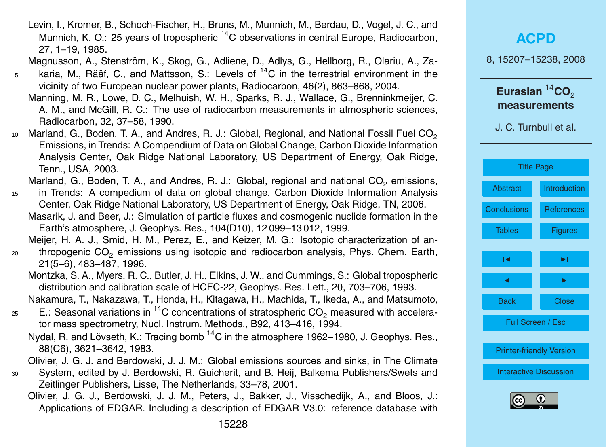Levin, I., Kromer, B., Schoch-Fischer, H., Bruns, M., Munnich, M., Berdau, D., Vogel, J. C., and Munnich, K. O.: 25 years of tropospheric <sup>14</sup>C observations in central Europe, Radiocarbon, 27, 1–19, 1985.

Magnusson, A., Stenström, K., Skog, G., Adliene, D., Adlys, G., Hellborg, R., Olariu, A., Za-

- <sup>5</sup> karia, M., Rääf, C., and Mattsson, S.: Levels of <sup>14</sup>C in the terrestrial environment in the vicinity of two European nuclear power plants, Radiocarbon, 46(2), 863–868, 2004.
	- Manning, M. R., Lowe, D. C., Melhuish, W. H., Sparks, R. J., Wallace, G., Brenninkmeijer, C. A. M., and McGill, R. C.: The use of radiocarbon measurements in atmospheric sciences, Radiocarbon, 32, 37–58, 1990.
- $_{10}$  Marland, G., Boden, T. A., and Andres, R. J.: Global, Regional, and National Fossil Fuel CO $_{\rm 2}$ Emissions, in Trends: A Compendium of Data on Global Change, Carbon Dioxide Information Analysis Center, Oak Ridge National Laboratory, US Department of Energy, Oak Ridge, Tenn., USA, 2003.

Marland, G., Boden, T. A., and Andres, R. J.: Global, regional and national CO<sub>2</sub> emissions,

<sup>15</sup> in Trends: A compedium of data on global change, Carbon Dioxide Information Analysis Center, Oak Ridge National Laboratory, US Department of Energy, Oak Ridge, TN, 2006. Masarik, J. and Beer, J.: Simulation of particle fluxes and cosmogenic nuclide formation in the Earth's atmosphere, J. Geophys. Res., 104(D10), 12 099–13 012, 1999.

Meijer, H. A. J., Smid, H. M., Perez, E., and Keizer, M. G.: Isotopic characterization of an-<sub>20</sub> thropogenic CO<sub>2</sub> emissions using isotopic and radiocarbon analysis, Phys. Chem. Earth, 21(5–6), 483–487, 1996.

Montzka, S. A., Myers, R. C., Butler, J. H., Elkins, J. W., and Cummings, S.: Global tropospheric distribution and calibration scale of HCFC-22, Geophys. Res. Lett., 20, 703–706, 1993.

Nakamura, T., Nakazawa, T., Honda, H., Kitagawa, H., Machida, T., Ikeda, A., and Matsumoto,

- $_{25}$   $\,$  E.: Seasonal variations in  $^{14}$ C concentrations of stratospheric CO<sub>2</sub> measured with accelerator mass spectrometry, Nucl. Instrum. Methods., B92, 413–416, 1994.
	- Nydal, R. and Lövseth, K.: Tracing bomb <sup>14</sup>C in the atmosphere 1962–1980, J. Geophys. Res., 88(C6), 3621–3642, 1983.

Olivier, J. G. J. and Berdowski, J. J. M.: Global emissions sources and sinks, in The Climate

- <sup>30</sup> System, edited by J. Berdowski, R. Guicherit, and B. Heij, Balkema Publishers/Swets and Zeitlinger Publishers, Lisse, The Netherlands, 33–78, 2001.
	- Olivier, J. G. J., Berdowski, J. J. M., Peters, J., Bakker, J., Visschedijk, A., and Bloos, J.: Applications of EDGAR. Including a description of EDGAR V3.0: reference database with

|                                                                             | <b>ACPD</b>       |  |
|-----------------------------------------------------------------------------|-------------------|--|
| 8, 15207-15238, 2008                                                        |                   |  |
| Eurasian ${}^{14}$ CO <sub>2</sub><br>measurements<br>J. C. Turnbull et al. |                   |  |
|                                                                             |                   |  |
| <b>Title Page</b>                                                           |                   |  |
| <b>Abstract</b>                                                             | Introduction      |  |
| <b>Conclusions</b>                                                          | <b>References</b> |  |
| <b>Tables</b>                                                               | <b>Figures</b>    |  |
| ∣◀                                                                          | ▸∣                |  |
| ◀                                                                           |                   |  |
| <b>Back</b>                                                                 | Close             |  |
| Full Screen / Esc                                                           |                   |  |
| <b>Printer-friendly Version</b>                                             |                   |  |
| <b>Interactive Discussion</b>                                               |                   |  |
| ш                                                                           |                   |  |

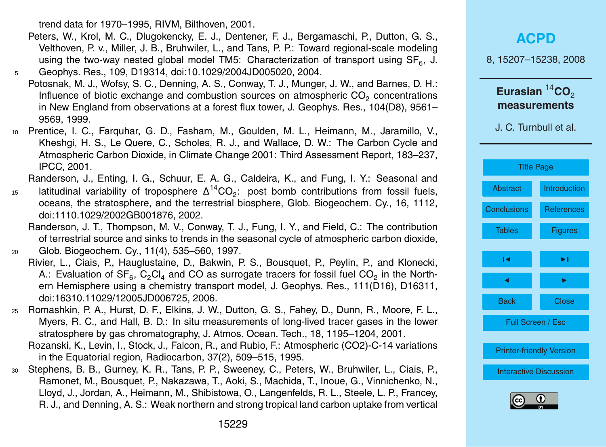trend data for 1970–1995, RIVM, Bilthoven, 2001.

- Peters, W., Krol, M. C., Dlugokencky, E. J., Dentener, F. J., Bergamaschi, P., Dutton, G. S., Velthoven, P. v., Miller, J. B., Bruhwiler, L., and Tans, P. P.: Toward regional-scale modeling using the two-way nested global model TM5: Characterization of transport using SF<sub>6</sub>, J.
- <sup>5</sup> Geophys. Res., 109, D19314, doi:10.1029/2004JD005020, 2004.
- Potosnak, M. J., Wofsy, S. C., Denning, A. S., Conway, T. J., Munger, J. W., and Barnes, D. H.: Influence of biotic exchange and combustion sources on atmospheric  $CO_2$  concentrations in New England from observations at a forest flux tower, J. Geophys. Res., 104(D8), 9561– 9569, 1999.
- <sup>10</sup> Prentice, I. C., Farquhar, G. D., Fasham, M., Goulden, M. L., Heimann, M., Jaramillo, V., Kheshgi, H. S., Le Quere, C., Scholes, R. J., and Wallace, D. W.: The Carbon Cycle and Atmospheric Carbon Dioxide, in Climate Change 2001: Third Assessment Report, 183–237, IPCC, 2001.

Randerson, J., Enting, I. G., Schuur, E. A. G., Caldeira, K., and Fung, I. Y.: Seasonal and

 $15$  latitudinal variability of troposphere  $\Delta^{14}CO_2$ : post bomb contributions from fossil fuels, oceans, the stratosphere, and the terrestrial biosphere, Glob. Biogeochem. Cy., 16, 1112, doi:1110.1029/2002GB001876, 2002.

Randerson, J. T., Thompson, M. V., Conway, T. J., Fung, I. Y., and Field, C.: The contribution of terrestrial source and sinks to trends in the seasonal cycle of atmospheric carbon dioxide, <sup>20</sup> Glob. Biogeochem. Cy., 11(4), 535–560, 1997.

- Rivier, L., Ciais, P., Hauglustaine, D., Bakwin, P. S., Bousquet, P., Peylin, P., and Klonecki, A.: Evaluation of SF<sub>6</sub>, C<sub>2</sub>Cl<sub>4</sub> and CO as surrogate tracers for fossil fuel CO<sub>2</sub> in the Northern Hemisphere using a chemistry transport model, J. Geophys. Res., 111(D16), D16311, doi:16310.11029/12005JD006725, 2006.
- <sup>25</sup> Romashkin, P. A., Hurst, D. F., Elkins, J. W., Dutton, G. S., Fahey, D., Dunn, R., Moore, F. L., Myers, R. C., and Hall, B. D.: In situ measurements of long-lived tracer gases in the lower stratosphere by gas chromatography, J. Atmos. Ocean. Tech., 18, 1195–1204, 2001.
	- Rozanski, K., Levin, I., Stock, J., Falcon, R., and Rubio, F.: Atmospheric (CO2)-C-14 variations in the Equatorial region, Radiocarbon, 37(2), 509–515, 1995.
- <sup>30</sup> Stephens, B. B., Gurney, K. R., Tans, P. P., Sweeney, C., Peters, W., Bruhwiler, L., Ciais, P., Ramonet, M., Bousquet, P., Nakazawa, T., Aoki, S., Machida, T., Inoue, G., Vinnichenko, N., Lloyd, J., Jordan, A., Heimann, M., Shibistowa, O., Langenfelds, R. L., Steele, L. P., Francey, R. J., and Denning, A. S.: Weak northern and strong tropical land carbon uptake from vertical

J. C. Turnbull et al.



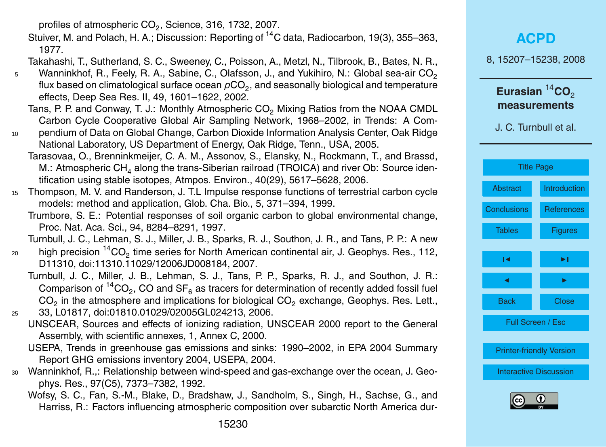profiles of atmospheric  $CO_2$ , Science, 316, 1732, 2007.

Stuiver, M. and Polach, H. A.; Discussion: Reporting of <sup>14</sup>C data, Radiocarbon, 19(3), 355–363, 1977.

Takahashi, T., Sutherland, S. C., Sweeney, C., Poisson, A., Metzl, N., Tilbrook, B., Bates, N. R.,

- Wanninkhof, R., Feely, R. A., Sabine, C., Olafsson, J., and Yukihiro, N.: Global sea-air CO<sub>2</sub> 5 flux based on climatological surface ocean  $\rho \mathrm{CO}_2$ , and seasonally biological and temperature effects, Deep Sea Res. II, 49, 1601–1622, 2002.
	- Tans, P. P. and Conway, T. J.: Monthly Atmospheric CO<sub>2</sub> Mixing Ratios from the NOAA CMDL Carbon Cycle Cooperative Global Air Sampling Network, 1968–2002, in Trends: A Com-
- <sup>10</sup> pendium of Data on Global Change, Carbon Dioxide Information Analysis Center, Oak Ridge National Laboratory, US Department of Energy, Oak Ridge, Tenn., USA, 2005.
	- Tarasovaa, O., Brenninkmeijer, C. A. M., Assonov, S., Elansky, N., Rockmann, T., and Brassd, M.: Atmospheric  $CH<sub>4</sub>$  along the trans-Siberian railroad (TROICA) and river Ob: Source identification using stable isotopes, Atmpos. Environ., 40(29), 5617–5628, 2006.
- <sup>15</sup> Thompson, M. V. and Randerson, J. T.L Impulse response functions of terrestrial carbon cycle models: method and application, Glob. Cha. Bio., 5, 371–394, 1999.
	- Trumbore, S. E.: Potential responses of soil organic carbon to global environmental change, Proc. Nat. Aca. Sci., 94, 8284–8291, 1997.

Turnbull, J. C., Lehman, S. J., Miller, J. B., Sparks, R. J., Southon, J. R., and Tans, P. P.: A new

- $_{20}$  high precision  $^{14} \mathrm{CO}_2$  time series for North American continental air, J. Geophys. Res., 112, D11310, doi:11310.11029/12006JD008184, 2007.
- Turnbull, J. C., Miller, J. B., Lehman, S. J., Tans, P. P., Sparks, R. J., and Southon, J. R.: Comparison of  ${}^{14}CO_2$ , CO and SF<sub>6</sub> as tracers for determination of recently added fossil fuel  $CO<sub>2</sub>$  in the atmosphere and implications for biological  $CO<sub>2</sub>$  exchange, Geophys. Res. Lett., <sup>25</sup> 33, L01817, doi:01810.01029/02005GL024213, 2006.
	- UNSCEAR, Sources and effects of ionizing radiation, UNSCEAR 2000 report to the General Assembly, with scientific annexes, 1, Annex C, 2000.
	- USEPA, Trends in greenhouse gas emissions and sinks: 1990–2002, in EPA 2004 Summary Report GHG emissions inventory 2004, USEPA, 2004.
- <sup>30</sup> Wanninkhof, R.,: Relationship between wind-speed and gas-exchange over the ocean, J. Geophys. Res., 97(C5), 7373–7382, 1992.
	- Wofsy, S. C., Fan, S.-M., Blake, D., Bradshaw, J., Sandholm, S., Singh, H., Sachse, G., and Harriss, R.: Factors influencing atmospheric composition over subarctic North America dur-

|                                                                           | <b>ACPD</b>       |  |
|---------------------------------------------------------------------------|-------------------|--|
| 8, 15207-15238, 2008                                                      |                   |  |
| Eurasian $^{14}$ CO <sub>2</sub><br>measurements<br>J. C. Turnbull et al. |                   |  |
| <b>Title Page</b>                                                         |                   |  |
| <b>Abstract</b>                                                           | Introduction      |  |
| <b>Conclusions</b>                                                        | <b>References</b> |  |
| <b>Tables</b>                                                             | <b>Figures</b>    |  |
| ١٩                                                                        | ►∣                |  |
|                                                                           |                   |  |
| <b>Back</b>                                                               | <b>Close</b>      |  |
| Full Screen / Esc                                                         |                   |  |
| <b>Printer-friendly Version</b>                                           |                   |  |
| <b>Interactive Discussion</b>                                             |                   |  |
| ш                                                                         |                   |  |

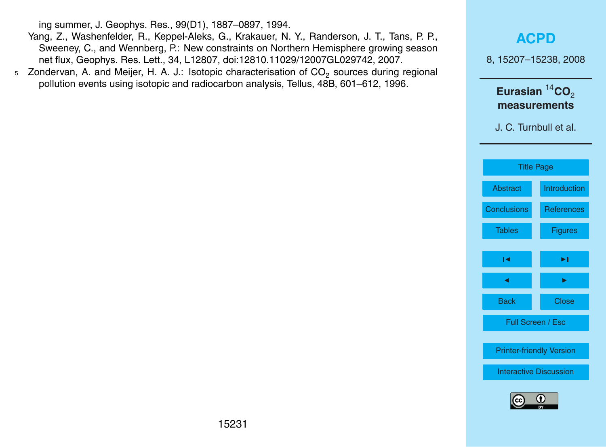ing summer, J. Geophys. Res., 99(D1), 1887–0897, 1994.

- Yang, Z., Washenfelder, R., Keppel-Aleks, G., Krakauer, N. Y., Randerson, J. T., Tans, P. P., Sweeney, C., and Wennberg, P.: New constraints on Northern Hemisphere growing season net flux, Geophys. Res. Lett., 34, L12807, doi:12810.11029/12007GL029742, 2007.
- $5$  Zondervan, A. and Meijer, H. A. J.: Isotopic characterisation of  $CO<sub>2</sub>$  sources during regional pollution events using isotopic and radiocarbon analysis, Tellus, 48B, 601–612, 1996.



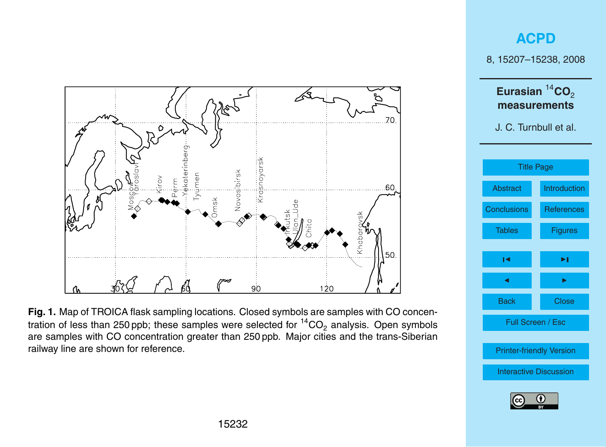<span id="page-25-0"></span>

### **[ACPD](http://www.atmos-chem-phys-discuss.net)**

8, 15207–15238, 2008



**Fig. 1.** Map of TROICA flask sampling locations. Closed symbols are samples with CO concentration of less than 250 ppb; these samples were selected for  ${}^{14}CO_2$  analysis. Open symbols are samples with CO concentration greater than 250 ppb. Major cities and the trans-Siberian railway line are shown for reference.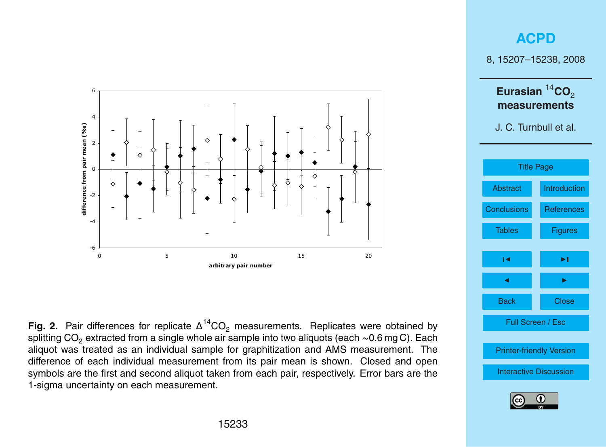

**Fig. 2.** Pair differences for replicate  $\Delta^{14}CO_2$  measurements. Replicates were obtained by splitting CO<sub>2</sub> extracted from a single whole air sample into two aliquots (each ~0.6 mg C). Each aliquot was treated as an individual sample for graphitization and AMS measurement. The difference of each individual measurement from its pair mean is shown. Closed and open symbols are the first and second aliquot taken from each pair, respectively. Error bars are the 1-sigma uncertainty on each measurement.

### **[ACPD](http://www.atmos-chem-phys-discuss.net)** 8, 15207–15238, 2008 **Eurasian** <sup>14</sup>**CO**<sup>2</sup> **measurements** J. C. Turnbull et al. [Title Page](#page-0-0) [Abstract](#page-1-0) [Introduction](#page-2-0) [Conclusions](#page-17-0) [References](#page-18-0) Tables [Figures](#page-25-0)  $\overline{\phantom{a}}$  $\blacksquare$ Back Close Full Screen / Esc [Printer-friendly Version](http://www.atmos-chem-phys-discuss.net/8/15207/2008/acpd-8-15207-2008-print.pdf) [Interactive Discussion](http://www.atmos-chem-phys-discuss.net/8/15207/2008/acpd-8-15207-2008-discussion.html)

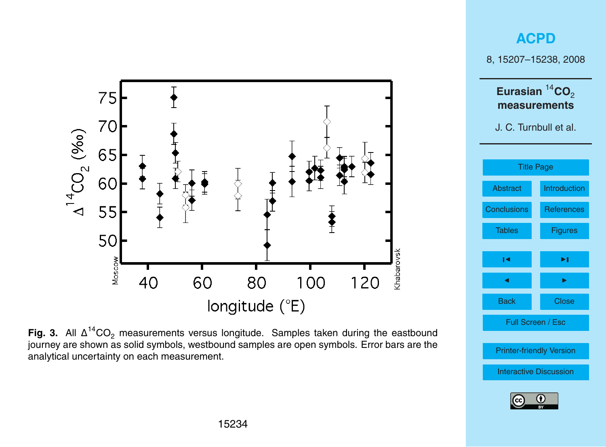

Fig. 3. All ∆<sup>14</sup>CO<sub>2</sub> measurements versus longitude. Samples taken during the eastbound journey are shown as solid symbols, westbound samples are open symbols. Error bars are the analytical uncertainty on each measurement.

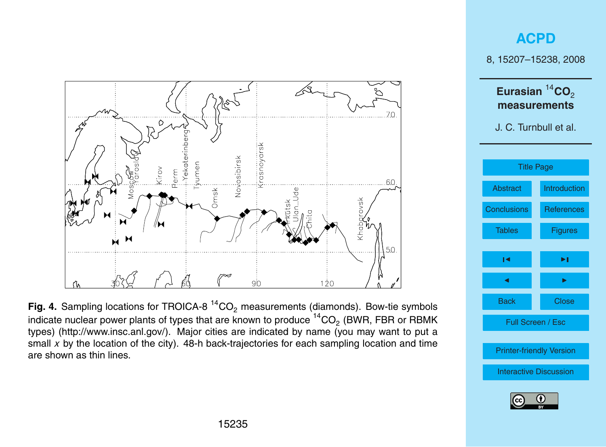

Fig. 4. Sampling locations for TROICA-8<sup>14</sup>CO<sub>2</sub> measurements (diamonds). Bow-tie symbols indicate nuclear power plants of types that are known to produce  $^{14} \mathrm{CO}_2$  (BWR, FBR or RBMK types) [\(http://www.insc.anl.gov/\)](http://www.insc.anl.gov/). Major cities are indicated by name (you may want to put a small x by the location of the city). 48-h back-trajectories for each sampling location and time are shown as thin lines.

### **[ACPD](http://www.atmos-chem-phys-discuss.net)** 8, 15207–15238, 2008 **Eurasian** <sup>14</sup>**CO**<sup>2</sup> **measurements** J. C. Turnbull et al.

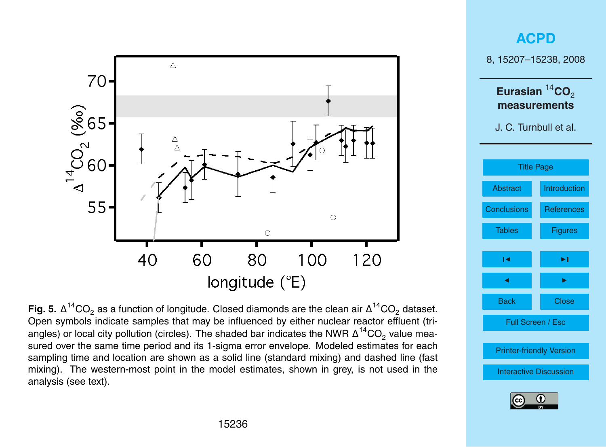

**Fig. 5.**  $\Delta^{14}$ CO<sub>2</sub> as a function of longitude. Closed diamonds are the clean air  $\Delta^{14}$ CO<sub>2</sub> dataset. Open symbols indicate samples that may be influenced by either nuclear reactor effluent (triangles) or local city pollution (circles). The shaded bar indicates the NWR  $\Delta ^{14} \rm CO_2$  value measured over the same time period and its 1-sigma error envelope. Modeled estimates for each sampling time and location are shown as a solid line (standard mixing) and dashed line (fast mixing). The western-most point in the model estimates, shown in grey, is not used in the analysis (see text).



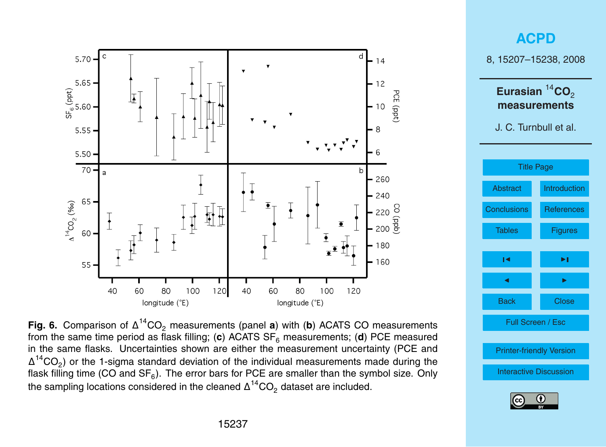

**Fig. 6.** Comparison of  $\Delta^{14}CO_2$  measurements (panel **a**) with (**b**) ACATS CO measurements from the same time period as flask filling; (c) ACATS SF<sub>6</sub> measurements; (d) PCE measured in the same flasks. Uncertainties shown are either the measurement uncertainty (PCE and  $\Delta^{14}$ CO<sub>2</sub>) or the 1-sigma standard deviation of the individual measurements made during the flask filling time (CO and SF $_6$ ). The error bars for PCE are smaller than the symbol size. Only the sampling locations considered in the cleaned  $\Delta ^{14} \text{CO}_2$  dataset are included.